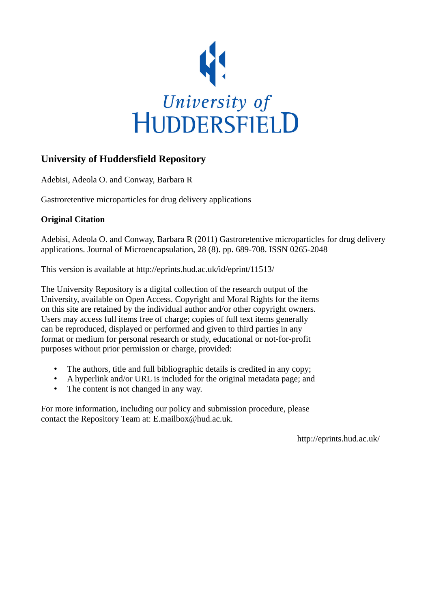

# **University of Huddersfield Repository**

Adebisi, Adeola O. and Conway, Barbara R

Gastroretentive microparticles for drug delivery applications

# **Original Citation**

Adebisi, Adeola O. and Conway, Barbara R (2011) Gastroretentive microparticles for drug delivery applications. Journal of Microencapsulation, 28 (8). pp. 689-708. ISSN 0265-2048

This version is available at http://eprints.hud.ac.uk/id/eprint/11513/

The University Repository is a digital collection of the research output of the University, available on Open Access. Copyright and Moral Rights for the items on this site are retained by the individual author and/or other copyright owners. Users may access full items free of charge; copies of full text items generally can be reproduced, displayed or performed and given to third parties in any format or medium for personal research or study, educational or not-for-profit purposes without prior permission or charge, provided:

- The authors, title and full bibliographic details is credited in any copy;
- A hyperlink and/or URL is included for the original metadata page; and
- The content is not changed in any way.

For more information, including our policy and submission procedure, please contact the Repository Team at: E.mailbox@hud.ac.uk.

http://eprints.hud.ac.uk/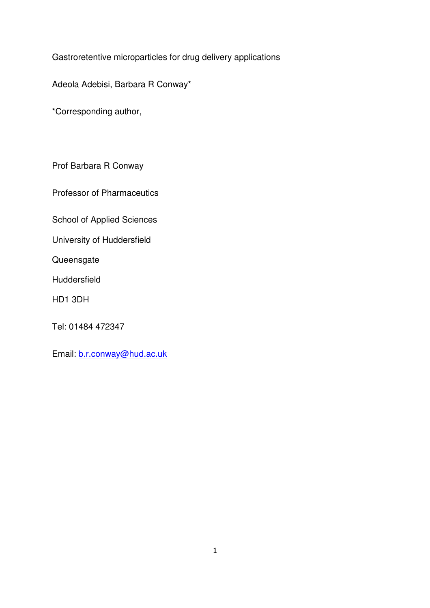Gastroretentive microparticles for drug delivery applications

Adeola Adebisi, Barbara R Conway\*

\*Corresponding author,

Prof Barbara R Conway

Professor of Pharmaceutics

School of Applied Sciences

University of Huddersfield

**Queensgate** 

Huddersfield

HD1 3DH

Tel: 01484 472347

Email: b.r.conway@hud.ac.uk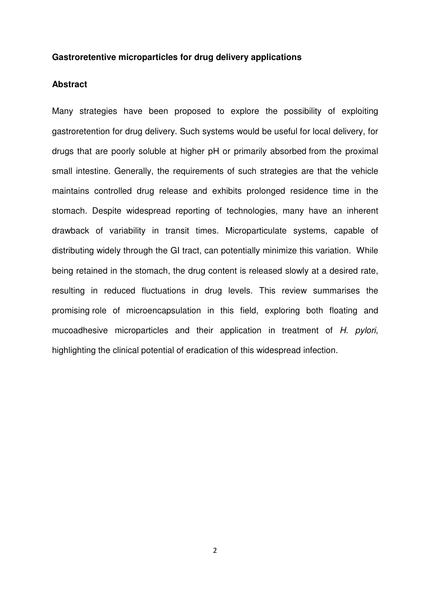### **Gastroretentive microparticles for drug delivery applications**

# **Abstract**

Many strategies have been proposed to explore the possibility of exploiting gastroretention for drug delivery. Such systems would be useful for local delivery, for drugs that are poorly soluble at higher pH or primarily absorbed from the proximal small intestine. Generally, the requirements of such strategies are that the vehicle maintains controlled drug release and exhibits prolonged residence time in the stomach. Despite widespread reporting of technologies, many have an inherent drawback of variability in transit times. Microparticulate systems, capable of distributing widely through the GI tract, can potentially minimize this variation. While being retained in the stomach, the drug content is released slowly at a desired rate, resulting in reduced fluctuations in drug levels. This review summarises the promising role of microencapsulation in this field, exploring both floating and mucoadhesive microparticles and their application in treatment of H. pylori, highlighting the clinical potential of eradication of this widespread infection.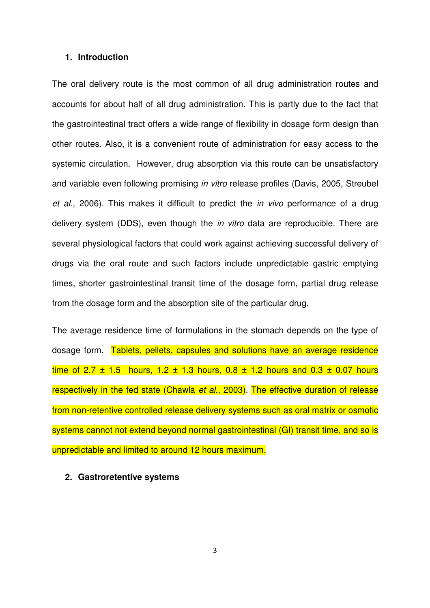### **1. Introduction**

The oral delivery route is the most common of all drug administration routes and accounts for about half of all drug administration. This is partly due to the fact that the gastrointestinal tract offers a wide range of flexibility in dosage form design than other routes. Also, it is a convenient route of administration for easy access to the systemic circulation. However, drug absorption via this route can be unsatisfactory and variable even following promising in vitro release profiles (Davis, 2005, Streubel et al., 2006). This makes it difficult to predict the in vivo performance of a drug delivery system (DDS), even though the *in vitro* data are reproducible. There are several physiological factors that could work against achieving successful delivery of drugs via the oral route and such factors include unpredictable gastric emptying times, shorter gastrointestinal transit time of the dosage form, partial drug release from the dosage form and the absorption site of the particular drug.

The average residence time of formulations in the stomach depends on the type of dosage form. Tablets, pellets, capsules and solutions have an average residence time of 2.7  $\pm$  1.5 hours, 1.2  $\pm$  1.3 hours, 0.8  $\pm$  1.2 hours and 0.3  $\pm$  0.07 hours respectively in the fed state (Chawla et al., 2003). The effective duration of release from non-retentive controlled release delivery systems such as oral matrix or osmotic systems cannot not extend beyond normal gastrointestinal (GI) transit time, and so is unpredictable and limited to around 12 hours maximum.

#### **2. Gastroretentive systems**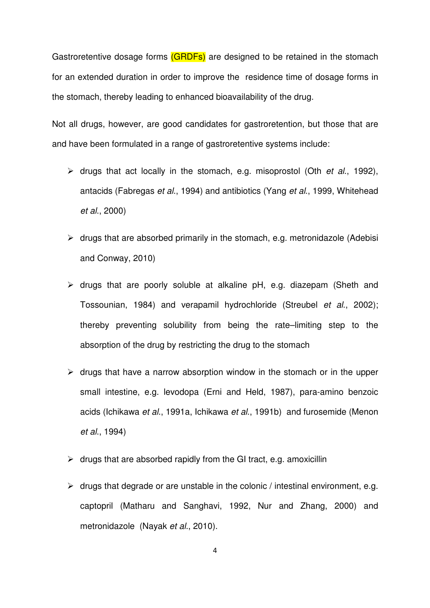Gastroretentive dosage forms (GRDFs) are designed to be retained in the stomach for an extended duration in order to improve the residence time of dosage forms in the stomach, thereby leading to enhanced bioavailability of the drug.

Not all drugs, however, are good candidates for gastroretention, but those that are and have been formulated in a range of gastroretentive systems include:

- $\triangleright$  drugs that act locally in the stomach, e.g. misoprostol (Oth *et al.*, 1992), antacids (Fabregas et al., 1994) and antibiotics (Yang et al., 1999, Whitehead et al., 2000)
- $\triangleright$  drugs that are absorbed primarily in the stomach, e.g. metronidazole (Adebisi and Conway, 2010)
- $\triangleright$  drugs that are poorly soluble at alkaline pH, e.g. diazepam (Sheth and Tossounian, 1984) and verapamil hydrochloride (Streubel et al., 2002); thereby preventing solubility from being the rate–limiting step to the absorption of the drug by restricting the drug to the stomach
- $\triangleright$  drugs that have a narrow absorption window in the stomach or in the upper small intestine, e.g. levodopa (Erni and Held, 1987), para-amino benzoic acids (Ichikawa et al., 1991a, Ichikawa et al., 1991b) and furosemide (Menon et al., 1994)
- $\triangleright$  drugs that are absorbed rapidly from the GI tract, e.g. amoxicillin
- $\triangleright$  drugs that degrade or are unstable in the colonic / intestinal environment, e.g. captopril (Matharu and Sanghavi, 1992, Nur and Zhang, 2000) and metronidazole (Nayak et al., 2010).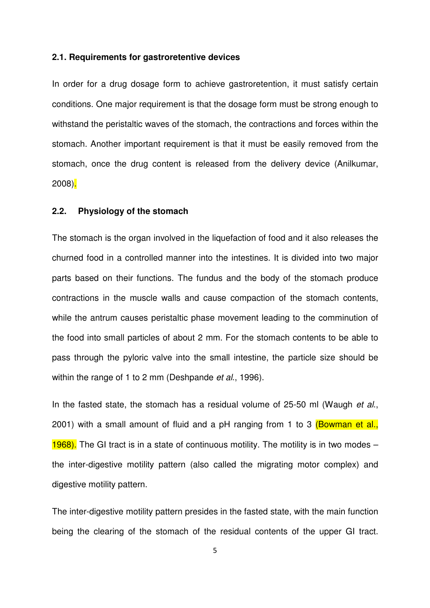#### **2.1. Requirements for gastroretentive devices**

In order for a drug dosage form to achieve gastroretention, it must satisfy certain conditions. One major requirement is that the dosage form must be strong enough to withstand the peristaltic waves of the stomach, the contractions and forces within the stomach. Another important requirement is that it must be easily removed from the stomach, once the drug content is released from the delivery device (Anilkumar, 2008).

# **2.2. Physiology of the stomach**

The stomach is the organ involved in the liquefaction of food and it also releases the churned food in a controlled manner into the intestines. It is divided into two major parts based on their functions. The fundus and the body of the stomach produce contractions in the muscle walls and cause compaction of the stomach contents, while the antrum causes peristaltic phase movement leading to the comminution of the food into small particles of about 2 mm. For the stomach contents to be able to pass through the pyloric valve into the small intestine, the particle size should be within the range of 1 to 2 mm (Deshpande et al., 1996).

In the fasted state, the stomach has a residual volume of 25-50 ml (Waugh et al., 2001) with a small amount of fluid and a pH ranging from 1 to 3 (Bowman et al., 1968). The GI tract is in a state of continuous motility. The motility is in two modes  $$ the inter-digestive motility pattern (also called the migrating motor complex) and digestive motility pattern.

The inter-digestive motility pattern presides in the fasted state, with the main function being the clearing of the stomach of the residual contents of the upper GI tract.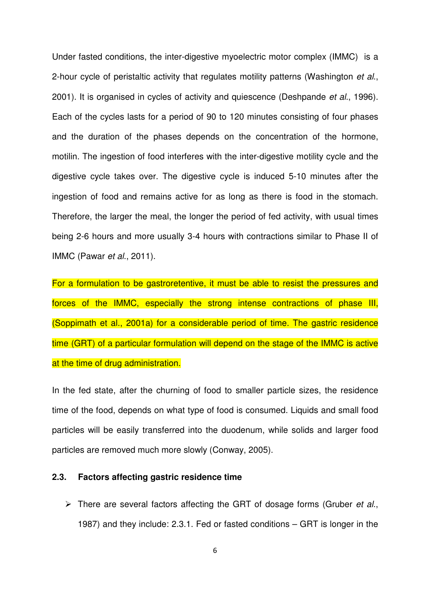Under fasted conditions, the inter-digestive myoelectric motor complex (IMMC) is a 2-hour cycle of peristaltic activity that regulates motility patterns (Washington *et al.*, 2001). It is organised in cycles of activity and quiescence (Deshpande *et al.*, 1996). Each of the cycles lasts for a period of 90 to 120 minutes consisting of four phases and the duration of the phases depends on the concentration of the hormone, motilin. The ingestion of food interferes with the inter-digestive motility cycle and the digestive cycle takes over. The digestive cycle is induced 5-10 minutes after the ingestion of food and remains active for as long as there is food in the stomach. Therefore, the larger the meal, the longer the period of fed activity, with usual times being 2-6 hours and more usually 3-4 hours with contractions similar to Phase II of IMMC (Pawar et al., 2011).

For a formulation to be gastroretentive, it must be able to resist the pressures and forces of the IMMC, especially the strong intense contractions of phase III, (Soppimath et al., 2001a) for a considerable period of time. The gastric residence time (GRT) of a particular formulation will depend on the stage of the IMMC is active at the time of drug administration.

In the fed state, after the churning of food to smaller particle sizes, the residence time of the food, depends on what type of food is consumed. Liquids and small food particles will be easily transferred into the duodenum, while solids and larger food particles are removed much more slowly (Conway, 2005).

# **2.3. Factors affecting gastric residence time**

 $\triangleright$  There are several factors affecting the GRT of dosage forms (Gruber *et al.*, 1987) and they include: 2.3.1. Fed or fasted conditions – GRT is longer in the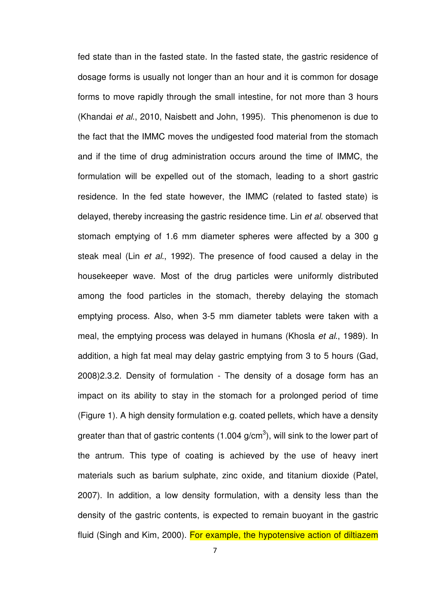fed state than in the fasted state. In the fasted state, the gastric residence of dosage forms is usually not longer than an hour and it is common for dosage forms to move rapidly through the small intestine, for not more than 3 hours (Khandai et al., 2010, Naisbett and John, 1995). This phenomenon is due to the fact that the IMMC moves the undigested food material from the stomach and if the time of drug administration occurs around the time of IMMC, the formulation will be expelled out of the stomach, leading to a short gastric residence. In the fed state however, the IMMC (related to fasted state) is delayed, thereby increasing the gastric residence time. Lin et al. observed that stomach emptying of 1.6 mm diameter spheres were affected by a 300 g steak meal (Lin et al., 1992). The presence of food caused a delay in the housekeeper wave. Most of the drug particles were uniformly distributed among the food particles in the stomach, thereby delaying the stomach emptying process. Also, when 3-5 mm diameter tablets were taken with a meal, the emptying process was delayed in humans (Khosla et al., 1989). In addition, a high fat meal may delay gastric emptying from 3 to 5 hours (Gad, 2008)2.3.2. Density of formulation - The density of a dosage form has an impact on its ability to stay in the stomach for a prolonged period of time (Figure 1). A high density formulation e.g. coated pellets, which have a density greater than that of gastric contents (1.004 g/cm<sup>3</sup>), will sink to the lower part of the antrum. This type of coating is achieved by the use of heavy inert materials such as barium sulphate, zinc oxide, and titanium dioxide (Patel, 2007). In addition, a low density formulation, with a density less than the density of the gastric contents, is expected to remain buoyant in the gastric fluid (Singh and Kim, 2000). For example, the hypotensive action of diltiazem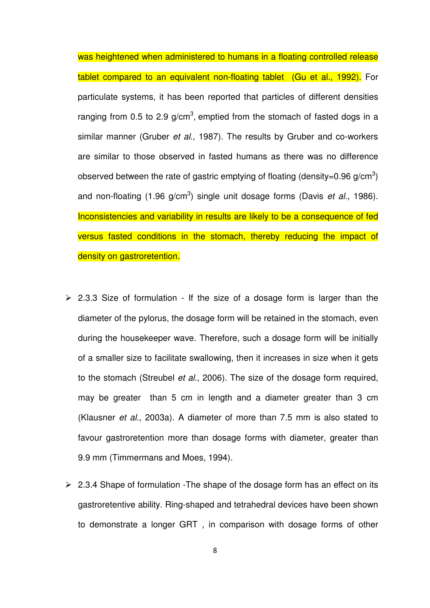was heightened when administered to humans in a floating controlled release tablet compared to an equivalent non-floating tablet (Gu et al., 1992). For particulate systems, it has been reported that particles of different densities ranging from 0.5 to 2.9 g/cm<sup>3</sup>, emptied from the stomach of fasted dogs in a similar manner (Gruber et al., 1987). The results by Gruber and co-workers are similar to those observed in fasted humans as there was no difference observed between the rate of gastric emptying of floating (density=0.96 g/cm<sup>3</sup>) and non-floating (1.96 g/cm<sup>3</sup>) single unit dosage forms (Davis et al., 1986). Inconsistencies and variability in results are likely to be a consequence of fed versus fasted conditions in the stomach, thereby reducing the impact of density on gastroretention.

- $\geq$  2.3.3 Size of formulation If the size of a dosage form is larger than the diameter of the pylorus, the dosage form will be retained in the stomach, even during the housekeeper wave. Therefore, such a dosage form will be initially of a smaller size to facilitate swallowing, then it increases in size when it gets to the stomach (Streubel et al., 2006). The size of the dosage form required, may be greater than 5 cm in length and a diameter greater than 3 cm (Klausner et al., 2003a). A diameter of more than 7.5 mm is also stated to favour gastroretention more than dosage forms with diameter, greater than 9.9 mm (Timmermans and Moes, 1994).
- $\geq$  2.3.4 Shape of formulation -The shape of the dosage form has an effect on its gastroretentive ability. Ring-shaped and tetrahedral devices have been shown to demonstrate a longer GRT , in comparison with dosage forms of other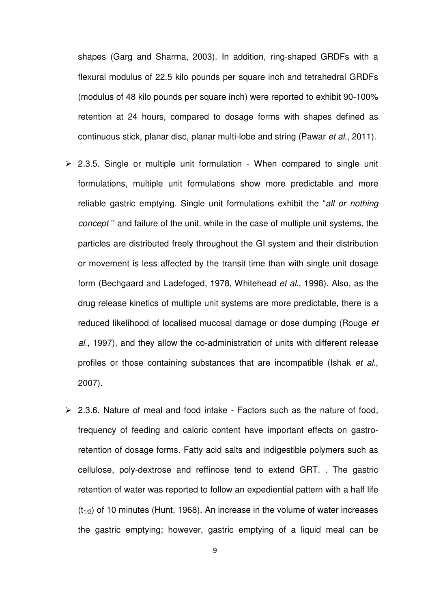shapes (Garg and Sharma, 2003). In addition, ring-shaped GRDFs with a flexural modulus of 22.5 kilo pounds per square inch and tetrahedral GRDFs (modulus of 48 kilo pounds per square inch) were reported to exhibit 90-100% retention at 24 hours, compared to dosage forms with shapes defined as continuous stick, planar disc, planar multi-lobe and string (Pawar et al., 2011).

- $\geq$  2.3.5. Single or multiple unit formulation When compared to single unit formulations, multiple unit formulations show more predictable and more reliable gastric emptying. Single unit formulations exhibit the "all or nothing concept '' and failure of the unit, while in the case of multiple unit systems, the particles are distributed freely throughout the GI system and their distribution or movement is less affected by the transit time than with single unit dosage form (Bechgaard and Ladefoged, 1978, Whitehead et al., 1998). Also, as the drug release kinetics of multiple unit systems are more predictable, there is a reduced likelihood of localised mucosal damage or dose dumping (Rouge et al., 1997), and they allow the co-administration of units with different release profiles or those containing substances that are incompatible (Ishak et al., 2007).
- $\geq$  2.3.6. Nature of meal and food intake Factors such as the nature of food, frequency of feeding and caloric content have important effects on gastroretention of dosage forms. Fatty acid salts and indigestible polymers such as cellulose, poly-dextrose and reffinose tend to extend GRT. . The gastric retention of water was reported to follow an expediential pattern with a half life  $(t_{1/2})$  of 10 minutes (Hunt, 1968). An increase in the volume of water increases the gastric emptying; however, gastric emptying of a liquid meal can be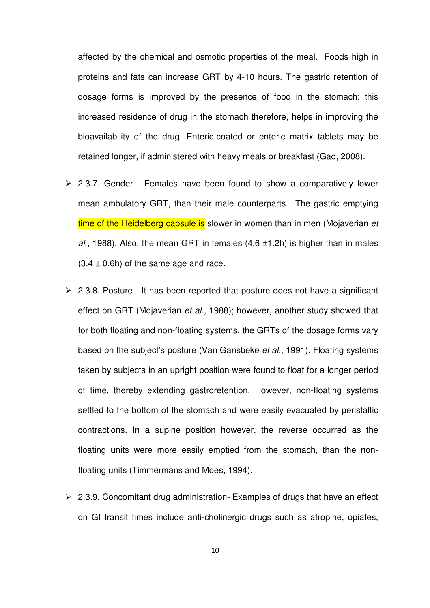affected by the chemical and osmotic properties of the meal. Foods high in proteins and fats can increase GRT by 4-10 hours. The gastric retention of dosage forms is improved by the presence of food in the stomach; this increased residence of drug in the stomach therefore, helps in improving the bioavailability of the drug. Enteric-coated or enteric matrix tablets may be retained longer, if administered with heavy meals or breakfast (Gad, 2008).

- $\geq$  2.3.7. Gender Females have been found to show a comparatively lower mean ambulatory GRT, than their male counterparts. The gastric emptying time of the Heidelberg capsule is slower in women than in men (Mojaverian et al., 1988). Also, the mean GRT in females  $(4.6 \pm 1.2h)$  is higher than in males  $(3.4 \pm 0.6)$  of the same age and race.
- $\geq$  2.3.8. Posture It has been reported that posture does not have a significant effect on GRT (Mojaverian et al., 1988); however, another study showed that for both floating and non-floating systems, the GRTs of the dosage forms vary based on the subject's posture (Van Gansbeke *et al.*, 1991). Floating systems taken by subjects in an upright position were found to float for a longer period of time, thereby extending gastroretention. However, non-floating systems settled to the bottom of the stomach and were easily evacuated by peristaltic contractions. In a supine position however, the reverse occurred as the floating units were more easily emptied from the stomach, than the nonfloating units (Timmermans and Moes, 1994).
- $\geq$  2.3.9. Concomitant drug administration- Examples of drugs that have an effect on GI transit times include anti-cholinergic drugs such as atropine, opiates,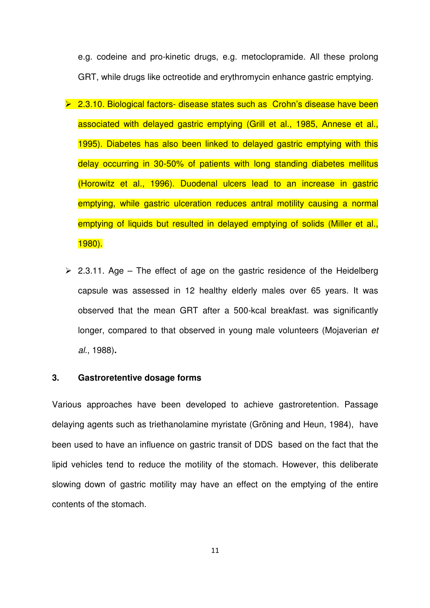e.g. codeine and pro-kinetic drugs, e.g. metoclopramide. All these prolong GRT, while drugs like octreotide and erythromycin enhance gastric emptying.

- ▶ 2.3.10. Biological factors- disease states such as Crohn's disease have been associated with delayed gastric emptying (Grill et al., 1985, Annese et al., 1995). Diabetes has also been linked to delayed gastric emptying with this delay occurring in 30-50% of patients with long standing diabetes mellitus (Horowitz et al., 1996). Duodenal ulcers lead to an increase in gastric emptying, while gastric ulceration reduces antral motility causing a normal emptying of liquids but resulted in delayed emptying of solids (Miller et al., 1980).
- $\geq$  2.3.11. Age The effect of age on the gastric residence of the Heidelberg capsule was assessed in 12 healthy elderly males over 65 years. It was observed that the mean GRT after a 500-kcal breakfast. was significantly longer, compared to that observed in young male volunteers (Mojaverian et al., 1988)**.**

# **3. Gastroretentive dosage forms**

Various approaches have been developed to achieve gastroretention. Passage delaying agents such as triethanolamine myristate (Gröning and Heun, 1984), have been used to have an influence on gastric transit of DDS based on the fact that the lipid vehicles tend to reduce the motility of the stomach. However, this deliberate slowing down of gastric motility may have an effect on the emptying of the entire contents of the stomach.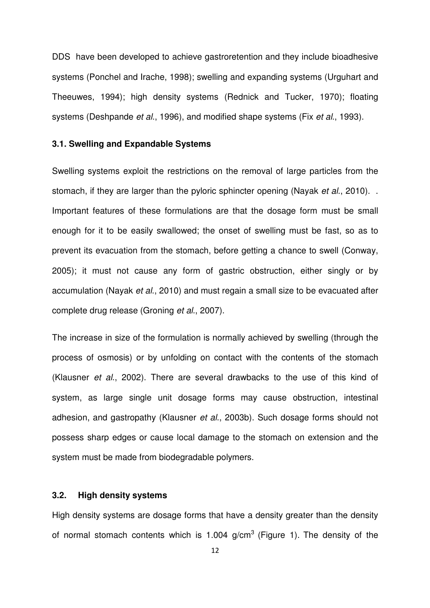DDS have been developed to achieve gastroretention and they include bioadhesive systems (Ponchel and Irache, 1998); swelling and expanding systems (Urguhart and Theeuwes, 1994); high density systems (Rednick and Tucker, 1970); floating systems (Deshpande et al., 1996), and modified shape systems (Fix et al., 1993).

### **3.1. Swelling and Expandable Systems**

Swelling systems exploit the restrictions on the removal of large particles from the stomach, if they are larger than the pyloric sphincter opening (Nayak *et al.*, 2010). Important features of these formulations are that the dosage form must be small enough for it to be easily swallowed; the onset of swelling must be fast, so as to prevent its evacuation from the stomach, before getting a chance to swell (Conway, 2005); it must not cause any form of gastric obstruction, either singly or by accumulation (Nayak et al., 2010) and must regain a small size to be evacuated after complete drug release (Groning et al., 2007).

The increase in size of the formulation is normally achieved by swelling (through the process of osmosis) or by unfolding on contact with the contents of the stomach (Klausner et al., 2002). There are several drawbacks to the use of this kind of system, as large single unit dosage forms may cause obstruction, intestinal adhesion, and gastropathy (Klausner et al., 2003b). Such dosage forms should not possess sharp edges or cause local damage to the stomach on extension and the system must be made from biodegradable polymers.

# **3.2. High density systems**

High density systems are dosage forms that have a density greater than the density of normal stomach contents which is 1.004  $q/cm<sup>3</sup>$  (Figure 1). The density of the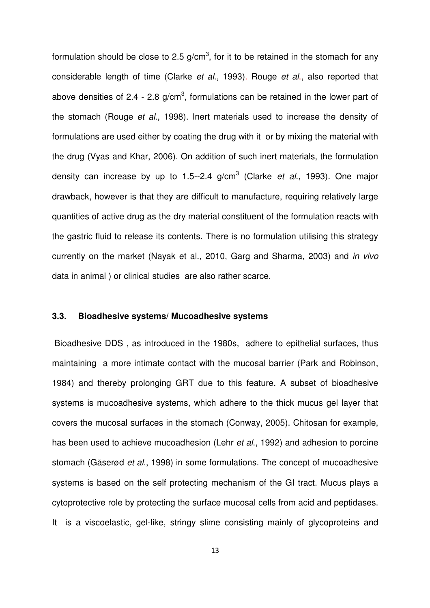formulation should be close to 2.5 g/cm<sup>3</sup>, for it to be retained in the stomach for any considerable length of time (Clarke et al., 1993). Rouge et al., also reported that above densities of 2.4 - 2.8 g/cm<sup>3</sup>, formulations can be retained in the lower part of the stomach (Rouge et al., 1998). Inert materials used to increase the density of formulations are used either by coating the drug with it or by mixing the material with the drug (Vyas and Khar, 2006). On addition of such inert materials, the formulation density can increase by up to 1.5--2.4 g/cm<sup>3</sup> (Clarke *et al.*, 1993). One major drawback, however is that they are difficult to manufacture, requiring relatively large quantities of active drug as the dry material constituent of the formulation reacts with the gastric fluid to release its contents. There is no formulation utilising this strategy currently on the market (Nayak et al., 2010, Garg and Sharma, 2003) and in vivo data in animal ) or clinical studies are also rather scarce.

# **3.3. Bioadhesive systems/ Mucoadhesive systems**

 Bioadhesive DDS , as introduced in the 1980s, adhere to epithelial surfaces, thus maintaining a more intimate contact with the mucosal barrier (Park and Robinson, 1984) and thereby prolonging GRT due to this feature. A subset of bioadhesive systems is mucoadhesive systems, which adhere to the thick mucus gel layer that covers the mucosal surfaces in the stomach (Conway, 2005). Chitosan for example, has been used to achieve mucoadhesion (Lehr et al., 1992) and adhesion to porcine stomach (Gåserød et al., 1998) in some formulations. The concept of mucoadhesive systems is based on the self protecting mechanism of the GI tract. Mucus plays a cytoprotective role by protecting the surface mucosal cells from acid and peptidases. It is a viscoelastic, gel-like, stringy slime consisting mainly of glycoproteins and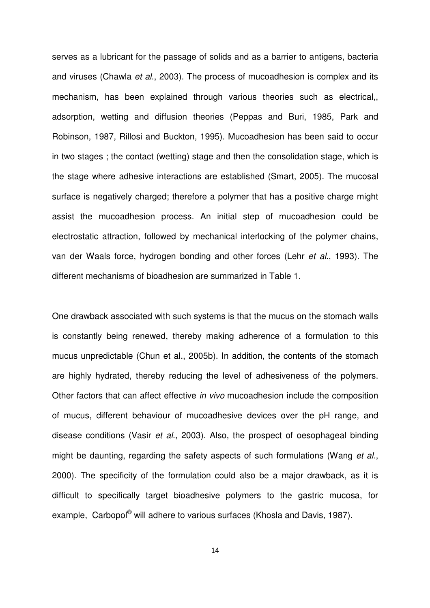serves as a lubricant for the passage of solids and as a barrier to antigens, bacteria and viruses (Chawla et al., 2003). The process of mucoadhesion is complex and its mechanism, has been explained through various theories such as electrical,, adsorption, wetting and diffusion theories (Peppas and Buri, 1985, Park and Robinson, 1987, Rillosi and Buckton, 1995). Mucoadhesion has been said to occur in two stages ; the contact (wetting) stage and then the consolidation stage, which is the stage where adhesive interactions are established (Smart, 2005). The mucosal surface is negatively charged; therefore a polymer that has a positive charge might assist the mucoadhesion process. An initial step of mucoadhesion could be electrostatic attraction, followed by mechanical interlocking of the polymer chains, van der Waals force, hydrogen bonding and other forces (Lehr et al., 1993). The different mechanisms of bioadhesion are summarized in Table 1.

One drawback associated with such systems is that the mucus on the stomach walls is constantly being renewed, thereby making adherence of a formulation to this mucus unpredictable (Chun et al., 2005b). In addition, the contents of the stomach are highly hydrated, thereby reducing the level of adhesiveness of the polymers. Other factors that can affect effective in vivo mucoadhesion include the composition of mucus, different behaviour of mucoadhesive devices over the pH range, and disease conditions (Vasir et al., 2003). Also, the prospect of oesophageal binding might be daunting, regarding the safety aspects of such formulations (Wang et al., 2000). The specificity of the formulation could also be a major drawback, as it is difficult to specifically target bioadhesive polymers to the gastric mucosa, for example, Carbopol® will adhere to various surfaces (Khosla and Davis, 1987).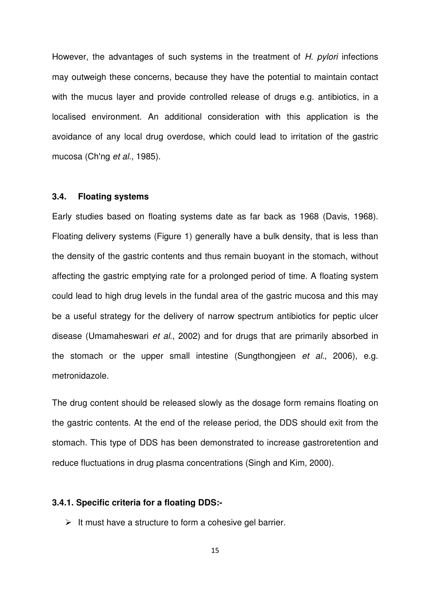However, the advantages of such systems in the treatment of H. pylori infections may outweigh these concerns, because they have the potential to maintain contact with the mucus layer and provide controlled release of drugs e.g. antibiotics, in a localised environment. An additional consideration with this application is the avoidance of any local drug overdose, which could lead to irritation of the gastric mucosa (Ch'ng et al., 1985).

#### **3.4. Floating systems**

Early studies based on floating systems date as far back as 1968 (Davis, 1968). Floating delivery systems (Figure 1) generally have a bulk density, that is less than the density of the gastric contents and thus remain buoyant in the stomach, without affecting the gastric emptying rate for a prolonged period of time. A floating system could lead to high drug levels in the fundal area of the gastric mucosa and this may be a useful strategy for the delivery of narrow spectrum antibiotics for peptic ulcer disease (Umamaheswari et al., 2002) and for drugs that are primarily absorbed in the stomach or the upper small intestine (Sungthongjeen et al., 2006), e.g. metronidazole.

The drug content should be released slowly as the dosage form remains floating on the gastric contents. At the end of the release period, the DDS should exit from the stomach. This type of DDS has been demonstrated to increase gastroretention and reduce fluctuations in drug plasma concentrations (Singh and Kim, 2000).

### **3.4.1. Specific criteria for a floating DDS:-**

 $\triangleright$  It must have a structure to form a cohesive gel barrier.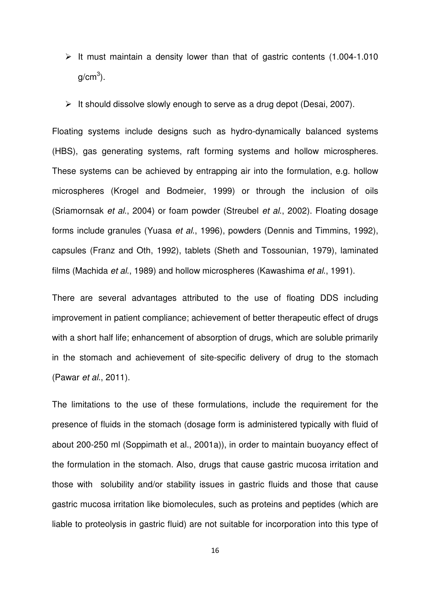- $\triangleright$  It must maintain a density lower than that of gastric contents (1.004-1.010 g/cm $^3$ ).
- $\triangleright$  It should dissolve slowly enough to serve as a drug depot (Desai, 2007).

Floating systems include designs such as hydro-dynamically balanced systems (HBS), gas generating systems, raft forming systems and hollow microspheres. These systems can be achieved by entrapping air into the formulation, e.g. hollow microspheres (Krogel and Bodmeier, 1999) or through the inclusion of oils (Sriamornsak et al., 2004) or foam powder (Streubel et al., 2002). Floating dosage forms include granules (Yuasa et al., 1996), powders (Dennis and Timmins, 1992), capsules (Franz and Oth, 1992), tablets (Sheth and Tossounian, 1979), laminated films (Machida et al., 1989) and hollow microspheres (Kawashima et al., 1991).

There are several advantages attributed to the use of floating DDS including improvement in patient compliance; achievement of better therapeutic effect of drugs with a short half life; enhancement of absorption of drugs, which are soluble primarily in the stomach and achievement of site-specific delivery of drug to the stomach (Pawar et al., 2011).

The limitations to the use of these formulations, include the requirement for the presence of fluids in the stomach (dosage form is administered typically with fluid of about 200-250 ml (Soppimath et al., 2001a)), in order to maintain buoyancy effect of the formulation in the stomach. Also, drugs that cause gastric mucosa irritation and those with solubility and/or stability issues in gastric fluids and those that cause gastric mucosa irritation like biomolecules, such as proteins and peptides (which are liable to proteolysis in gastric fluid) are not suitable for incorporation into this type of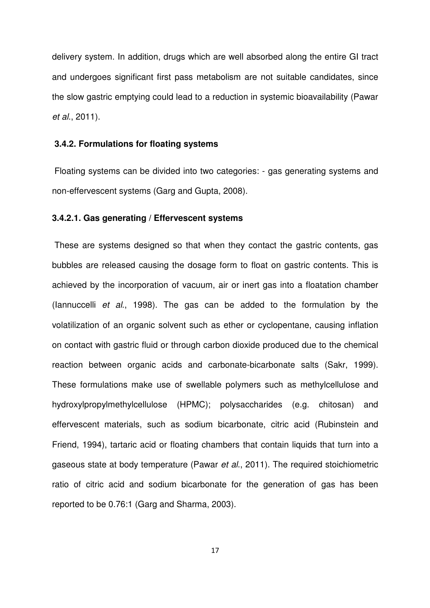delivery system. In addition, drugs which are well absorbed along the entire GI tract and undergoes significant first pass metabolism are not suitable candidates, since the slow gastric emptying could lead to a reduction in systemic bioavailability (Pawar et al., 2011).

#### **3.4.2. Formulations for floating systems**

 Floating systems can be divided into two categories: - gas generating systems and non-effervescent systems (Garg and Gupta, 2008).

# **3.4.2.1. Gas generating / Effervescent systems**

 These are systems designed so that when they contact the gastric contents, gas bubbles are released causing the dosage form to float on gastric contents. This is achieved by the incorporation of vacuum, air or inert gas into a floatation chamber (Iannuccelli et al., 1998). The gas can be added to the formulation by the volatilization of an organic solvent such as ether or cyclopentane, causing inflation on contact with gastric fluid or through carbon dioxide produced due to the chemical reaction between organic acids and carbonate-bicarbonate salts (Sakr, 1999). These formulations make use of swellable polymers such as methylcellulose and hydroxylpropylmethylcellulose (HPMC); polysaccharides (e.g. chitosan) and effervescent materials, such as sodium bicarbonate, citric acid (Rubinstein and Friend, 1994), tartaric acid or floating chambers that contain liquids that turn into a gaseous state at body temperature (Pawar et al., 2011). The required stoichiometric ratio of citric acid and sodium bicarbonate for the generation of gas has been reported to be 0.76:1 (Garg and Sharma, 2003).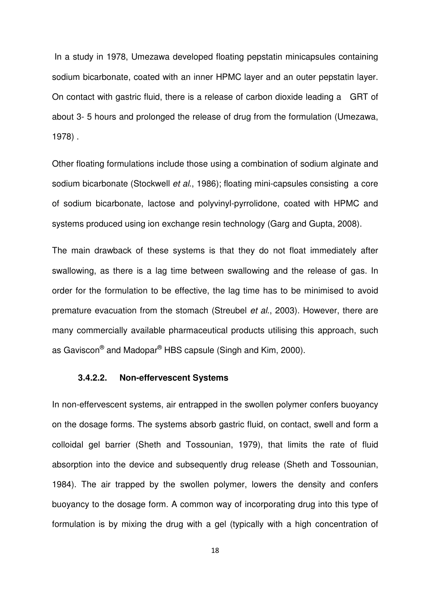In a study in 1978, Umezawa developed floating pepstatin minicapsules containing sodium bicarbonate, coated with an inner HPMC layer and an outer pepstatin layer. On contact with gastric fluid, there is a release of carbon dioxide leading a GRT of about 3- 5 hours and prolonged the release of drug from the formulation (Umezawa, 1978) .

Other floating formulations include those using a combination of sodium alginate and sodium bicarbonate (Stockwell et al., 1986); floating mini-capsules consisting a core of sodium bicarbonate, lactose and polyvinyl-pyrrolidone, coated with HPMC and systems produced using ion exchange resin technology (Garg and Gupta, 2008).

The main drawback of these systems is that they do not float immediately after swallowing, as there is a lag time between swallowing and the release of gas. In order for the formulation to be effective, the lag time has to be minimised to avoid premature evacuation from the stomach (Streubel et al., 2003). However, there are many commercially available pharmaceutical products utilising this approach, such as Gaviscon® and Madopar® HBS capsule (Singh and Kim, 2000).

# **3.4.2.2. Non-effervescent Systems**

In non-effervescent systems, air entrapped in the swollen polymer confers buoyancy on the dosage forms. The systems absorb gastric fluid, on contact, swell and form a colloidal gel barrier (Sheth and Tossounian, 1979), that limits the rate of fluid absorption into the device and subsequently drug release (Sheth and Tossounian, 1984). The air trapped by the swollen polymer, lowers the density and confers buoyancy to the dosage form. A common way of incorporating drug into this type of formulation is by mixing the drug with a gel (typically with a high concentration of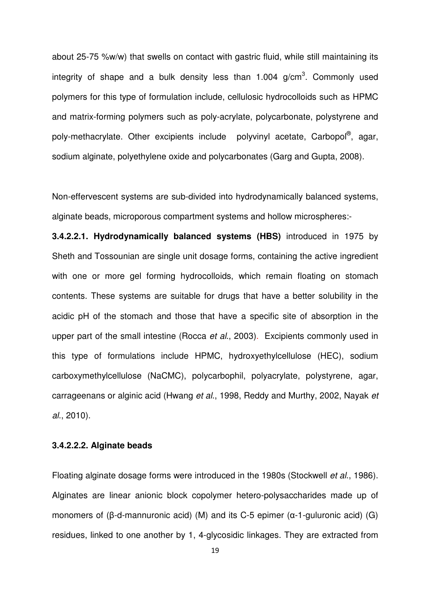about 25-75 %w/w) that swells on contact with gastric fluid, while still maintaining its integrity of shape and a bulk density less than 1.004  $g/cm<sup>3</sup>$ . Commonly used polymers for this type of formulation include, cellulosic hydrocolloids such as HPMC and matrix-forming polymers such as poly-acrylate, polycarbonate, polystyrene and poly-methacrylate. Other excipients include polyvinyl acetate, Carbopol®, agar, sodium alginate, polyethylene oxide and polycarbonates (Garg and Gupta, 2008).

Non-effervescent systems are sub-divided into hydrodynamically balanced systems, alginate beads, microporous compartment systems and hollow microspheres:-

**3.4.2.2.1. Hydrodynamically balanced systems (HBS)** introduced in 1975 by Sheth and Tossounian are single unit dosage forms, containing the active ingredient with one or more gel forming hydrocolloids, which remain floating on stomach contents. These systems are suitable for drugs that have a better solubility in the acidic pH of the stomach and those that have a specific site of absorption in the upper part of the small intestine (Rocca et al., 2003). Excipients commonly used in this type of formulations include HPMC, hydroxyethylcellulose (HEC), sodium carboxymethylcellulose (NaCMC), polycarbophil, polyacrylate, polystyrene, agar, carrageenans or alginic acid (Hwang et al., 1998, Reddy and Murthy, 2002, Nayak et al., 2010).

### **3.4.2.2.2. Alginate beads**

Floating alginate dosage forms were introduced in the 1980s (Stockwell et al., 1986). Alginates are linear anionic block copolymer hetero-polysaccharides made up of monomers of (β-d-mannuronic acid) (M) and its C-5 epimer (α-1-guluronic acid) (G) residues, linked to one another by 1, 4-glycosidic linkages. They are extracted from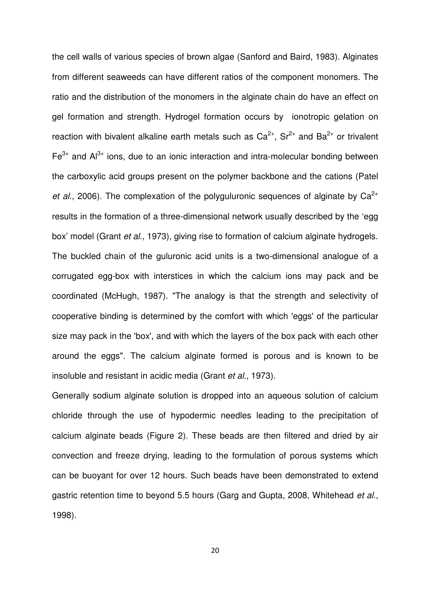the cell walls of various species of brown algae (Sanford and Baird, 1983). Alginates from different seaweeds can have different ratios of the component monomers. The ratio and the distribution of the monomers in the alginate chain do have an effect on gel formation and strength. Hydrogel formation occurs by ionotropic gelation on reaction with bivalent alkaline earth metals such as  $Ca^{2+}$ ,  $Sr^{2+}$  and  $Ba^{2+}$  or trivalent  $Fe<sup>3+</sup>$  and  $Al<sup>3+</sup>$  ions, due to an ionic interaction and intra-molecular bonding between the carboxylic acid groups present on the polymer backbone and the cations (Patel et al., 2006). The complexation of the polyguluronic sequences of alginate by  $Ca^{2+}$ results in the formation of a three-dimensional network usually described by the 'egg box' model (Grant et al., 1973), giving rise to formation of calcium alginate hydrogels. The buckled chain of the guluronic acid units is a two-dimensional analogue of a corrugated egg-box with interstices in which the calcium ions may pack and be coordinated (McHugh, 1987). "The analogy is that the strength and selectivity of cooperative binding is determined by the comfort with which 'eggs' of the particular size may pack in the 'box', and with which the layers of the box pack with each other around the eggs". The calcium alginate formed is porous and is known to be insoluble and resistant in acidic media (Grant et al., 1973).

Generally sodium alginate solution is dropped into an aqueous solution of calcium chloride through the use of hypodermic needles leading to the precipitation of calcium alginate beads (Figure 2). These beads are then filtered and dried by air convection and freeze drying, leading to the formulation of porous systems which can be buoyant for over 12 hours. Such beads have been demonstrated to extend gastric retention time to beyond 5.5 hours (Garg and Gupta, 2008, Whitehead et al., 1998).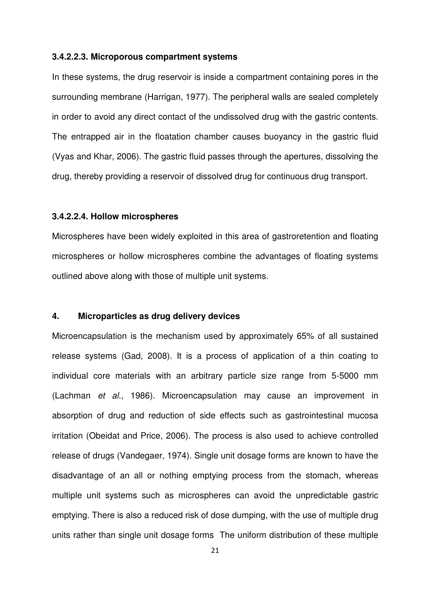#### **3.4.2.2.3. Microporous compartment systems**

In these systems, the drug reservoir is inside a compartment containing pores in the surrounding membrane (Harrigan, 1977). The peripheral walls are sealed completely in order to avoid any direct contact of the undissolved drug with the gastric contents. The entrapped air in the floatation chamber causes buoyancy in the gastric fluid (Vyas and Khar, 2006). The gastric fluid passes through the apertures, dissolving the drug, thereby providing a reservoir of dissolved drug for continuous drug transport.

### **3.4.2.2.4. Hollow microspheres**

Microspheres have been widely exploited in this area of gastroretention and floating microspheres or hollow microspheres combine the advantages of floating systems outlined above along with those of multiple unit systems.

### **4. Microparticles as drug delivery devices**

Microencapsulation is the mechanism used by approximately 65% of all sustained release systems (Gad, 2008). It is a process of application of a thin coating to individual core materials with an arbitrary particle size range from 5-5000 mm (Lachman et al., 1986). Microencapsulation may cause an improvement in absorption of drug and reduction of side effects such as gastrointestinal mucosa irritation (Obeidat and Price, 2006). The process is also used to achieve controlled release of drugs (Vandegaer, 1974). Single unit dosage forms are known to have the disadvantage of an all or nothing emptying process from the stomach, whereas multiple unit systems such as microspheres can avoid the unpredictable gastric emptying. There is also a reduced risk of dose dumping, with the use of multiple drug units rather than single unit dosage forms The uniform distribution of these multiple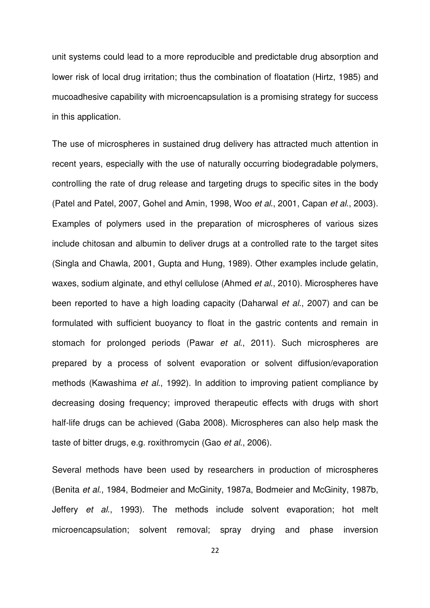unit systems could lead to a more reproducible and predictable drug absorption and lower risk of local drug irritation; thus the combination of floatation (Hirtz, 1985) and mucoadhesive capability with microencapsulation is a promising strategy for success in this application.

The use of microspheres in sustained drug delivery has attracted much attention in recent years, especially with the use of naturally occurring biodegradable polymers, controlling the rate of drug release and targeting drugs to specific sites in the body (Patel and Patel, 2007, Gohel and Amin, 1998, Woo et al., 2001, Capan et al., 2003). Examples of polymers used in the preparation of microspheres of various sizes include chitosan and albumin to deliver drugs at a controlled rate to the target sites (Singla and Chawla, 2001, Gupta and Hung, 1989). Other examples include gelatin, waxes, sodium alginate, and ethyl cellulose (Ahmed et al., 2010). Microspheres have been reported to have a high loading capacity (Daharwal *et al.*, 2007) and can be formulated with sufficient buoyancy to float in the gastric contents and remain in stomach for prolonged periods (Pawar et al., 2011). Such microspheres are prepared by a process of solvent evaporation or solvent diffusion/evaporation methods (Kawashima et al., 1992). In addition to improving patient compliance by decreasing dosing frequency; improved therapeutic effects with drugs with short half-life drugs can be achieved (Gaba 2008). Microspheres can also help mask the taste of bitter drugs, e.g. roxithromycin (Gao et al., 2006).

Several methods have been used by researchers in production of microspheres (Benita et al., 1984, Bodmeier and McGinity, 1987a, Bodmeier and McGinity, 1987b, Jeffery et al., 1993). The methods include solvent evaporation; hot melt microencapsulation; solvent removal; spray drying and phase inversion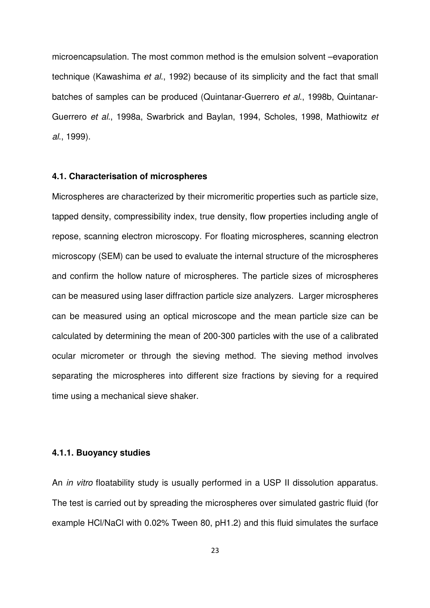microencapsulation. The most common method is the emulsion solvent –evaporation technique (Kawashima et al., 1992) because of its simplicity and the fact that small batches of samples can be produced (Quintanar-Guerrero et al., 1998b, Quintanar-Guerrero et al., 1998a, Swarbrick and Baylan, 1994, Scholes, 1998, Mathiowitz et al., 1999).

#### **4.1. Characterisation of microspheres**

Microspheres are characterized by their micromeritic properties such as particle size, tapped density, compressibility index, true density, flow properties including angle of repose, scanning electron microscopy. For floating microspheres, scanning electron microscopy (SEM) can be used to evaluate the internal structure of the microspheres and confirm the hollow nature of microspheres. The particle sizes of microspheres can be measured using laser diffraction particle size analyzers. Larger microspheres can be measured using an optical microscope and the mean particle size can be calculated by determining the mean of 200-300 particles with the use of a calibrated ocular micrometer or through the sieving method. The sieving method involves separating the microspheres into different size fractions by sieving for a required time using a mechanical sieve shaker.

#### **4.1.1. Buoyancy studies**

An *in vitro* floatability study is usually performed in a USP II dissolution apparatus. The test is carried out by spreading the microspheres over simulated gastric fluid (for example HCl/NaCl with 0.02% Tween 80, pH1.2) and this fluid simulates the surface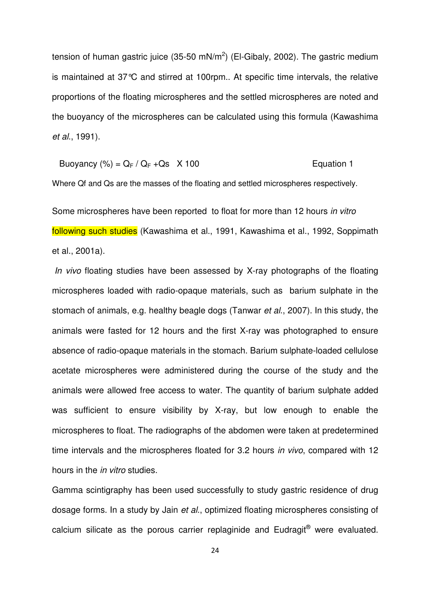tension of human gastric juice (35-50 mN/m<sup>2</sup>) (El-Gibaly, 2002). The gastric medium is maintained at 37°C and stirred at 100rpm.. At specific time intervals, the relative proportions of the floating microspheres and the settled microspheres are noted and the buoyancy of the microspheres can be calculated using this formula (Kawashima et al., 1991).

Buoyancy 
$$
(\%) = Q_F / Q_F + Q_s \times 100
$$
 \nEquation 1

Where Qf and Qs are the masses of the floating and settled microspheres respectively.

Some microspheres have been reported to float for more than 12 hours in vitro following such studies (Kawashima et al., 1991, Kawashima et al., 1992, Soppimath et al., 2001a).

In vivo floating studies have been assessed by X-ray photographs of the floating microspheres loaded with radio-opaque materials, such as barium sulphate in the stomach of animals, e.g. healthy beagle dogs (Tanwar et al., 2007). In this study, the animals were fasted for 12 hours and the first X-ray was photographed to ensure absence of radio-opaque materials in the stomach. Barium sulphate-loaded cellulose acetate microspheres were administered during the course of the study and the animals were allowed free access to water. The quantity of barium sulphate added was sufficient to ensure visibility by X-ray, but low enough to enable the microspheres to float. The radiographs of the abdomen were taken at predetermined time intervals and the microspheres floated for 3.2 hours in vivo, compared with 12 hours in the in vitro studies.

Gamma scintigraphy has been used successfully to study gastric residence of drug dosage forms. In a study by Jain et al., optimized floating microspheres consisting of calcium silicate as the porous carrier replaginide and Eudragit® were evaluated.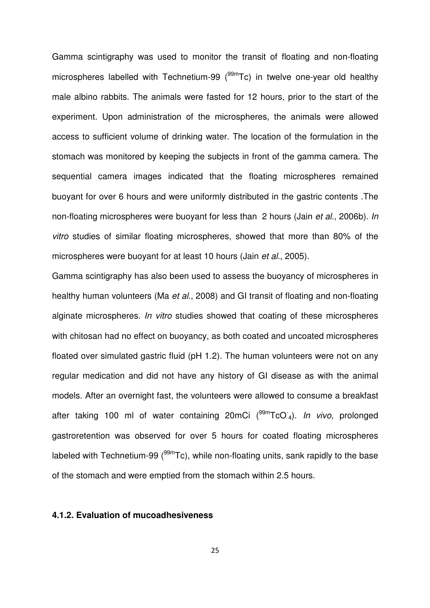Gamma scintigraphy was used to monitor the transit of floating and non-floating microspheres labelled with Technetium-99 ( $99m$ Tc) in twelve one-year old healthy male albino rabbits. The animals were fasted for 12 hours, prior to the start of the experiment. Upon administration of the microspheres, the animals were allowed access to sufficient volume of drinking water. The location of the formulation in the stomach was monitored by keeping the subjects in front of the gamma camera. The sequential camera images indicated that the floating microspheres remained buoyant for over 6 hours and were uniformly distributed in the gastric contents .The non-floating microspheres were buoyant for less than 2 hours (Jain et al., 2006b). In vitro studies of similar floating microspheres, showed that more than 80% of the microspheres were buoyant for at least 10 hours (Jain et al., 2005).

Gamma scintigraphy has also been used to assess the buoyancy of microspheres in healthy human volunteers (Ma et al., 2008) and GI transit of floating and non-floating alginate microspheres. In vitro studies showed that coating of these microspheres with chitosan had no effect on buoyancy, as both coated and uncoated microspheres floated over simulated gastric fluid (pH 1.2). The human volunteers were not on any regular medication and did not have any history of GI disease as with the animal models. After an overnight fast, the volunteers were allowed to consume a breakfast after taking 100 ml of water containing 20mCi (<sup>99m</sup>TcO<sup>-</sup>4). In vivo, prolonged gastroretention was observed for over 5 hours for coated floating microspheres labeled with Technetium-99 ( $99m$ Tc), while non-floating units, sank rapidly to the base of the stomach and were emptied from the stomach within 2.5 hours.

### **4.1.2. Evaluation of mucoadhesiveness**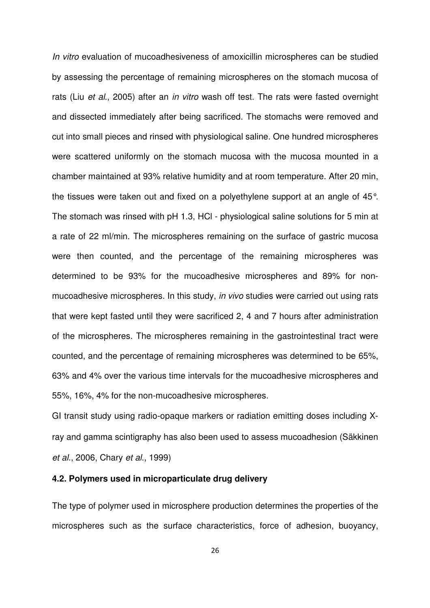In vitro evaluation of mucoadhesiveness of amoxicillin microspheres can be studied by assessing the percentage of remaining microspheres on the stomach mucosa of rats (Liu *et al.*, 2005) after an *in vitro* wash off test. The rats were fasted overnight and dissected immediately after being sacrificed. The stomachs were removed and cut into small pieces and rinsed with physiological saline. One hundred microspheres were scattered uniformly on the stomach mucosa with the mucosa mounted in a chamber maintained at 93% relative humidity and at room temperature. After 20 min, the tissues were taken out and fixed on a polyethylene support at an angle of 45°. The stomach was rinsed with pH 1.3, HCl - physiological saline solutions for 5 min at a rate of 22 ml/min. The microspheres remaining on the surface of gastric mucosa were then counted, and the percentage of the remaining microspheres was determined to be 93% for the mucoadhesive microspheres and 89% for nonmucoadhesive microspheres. In this study, in vivo studies were carried out using rats that were kept fasted until they were sacrificed 2, 4 and 7 hours after administration of the microspheres. The microspheres remaining in the gastrointestinal tract were counted, and the percentage of remaining microspheres was determined to be 65%, 63% and 4% over the various time intervals for the mucoadhesive microspheres and 55%, 16%, 4% for the non-mucoadhesive microspheres.

GI transit study using radio-opaque markers or radiation emitting doses including Xray and gamma scintigraphy has also been used to assess mucoadhesion (Säkkinen et al., 2006, Chary et al., 1999)

# **4.2. Polymers used in microparticulate drug delivery**

The type of polymer used in microsphere production determines the properties of the microspheres such as the surface characteristics, force of adhesion, buoyancy,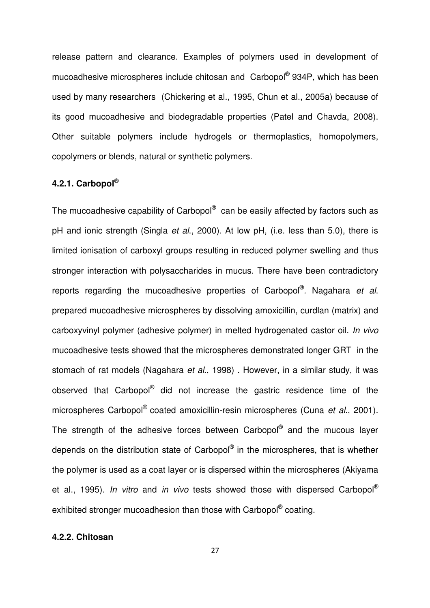release pattern and clearance. Examples of polymers used in development of mucoadhesive microspheres include chitosan and Carbopol® 934P, which has been used by many researchers (Chickering et al., 1995, Chun et al., 2005a) because of its good mucoadhesive and biodegradable properties (Patel and Chavda, 2008). Other suitable polymers include hydrogels or thermoplastics, homopolymers, copolymers or blends, natural or synthetic polymers.

# **4.2.1. Carbopol®**

The mucoadhesive capability of Carbopol® can be easily affected by factors such as pH and ionic strength (Singla et al., 2000). At low pH, (i.e. less than 5.0), there is limited ionisation of carboxyl groups resulting in reduced polymer swelling and thus stronger interaction with polysaccharides in mucus. There have been contradictory reports regarding the mucoadhesive properties of Carbopol<sup>®</sup>. Nagahara et al. prepared mucoadhesive microspheres by dissolving amoxicillin, curdlan (matrix) and carboxyvinyl polymer (adhesive polymer) in melted hydrogenated castor oil. In vivo mucoadhesive tests showed that the microspheres demonstrated longer GRT in the stomach of rat models (Nagahara et al., 1998). However, in a similar study, it was observed that Carbopol<sup>®</sup> did not increase the gastric residence time of the microspheres Carbopol<sup>®</sup> coated amoxicillin-resin microspheres (Cuna et al., 2001). The strength of the adhesive forces between Carbopol® and the mucous layer depends on the distribution state of Carbopol® in the microspheres, that is whether the polymer is used as a coat layer or is dispersed within the microspheres (Akiyama et al., 1995). In vitro and in vivo tests showed those with dispersed Carbopol<sup>®</sup> exhibited stronger mucoadhesion than those with Carbopol® coating.

# **4.2.2. Chitosan**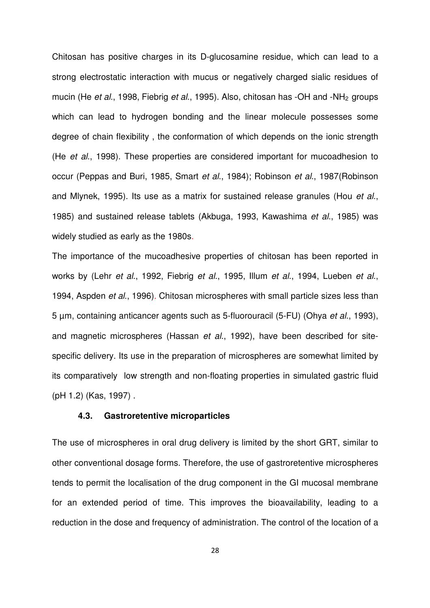Chitosan has positive charges in its D-glucosamine residue, which can lead to a strong electrostatic interaction with mucus or negatively charged sialic residues of mucin (He et al., 1998, Fiebrig et al., 1995). Also, chitosan has -OH and -NH<sub>2</sub> groups which can lead to hydrogen bonding and the linear molecule possesses some degree of chain flexibility , the conformation of which depends on the ionic strength (He et al., 1998). These properties are considered important for mucoadhesion to occur (Peppas and Buri, 1985, Smart et al., 1984); Robinson et al., 1987(Robinson and Mlynek, 1995). Its use as a matrix for sustained release granules (Hou et al., 1985) and sustained release tablets (Akbuga, 1993, Kawashima et al., 1985) was widely studied as early as the 1980s.

The importance of the mucoadhesive properties of chitosan has been reported in works by (Lehr et al., 1992, Fiebrig et al., 1995, Illum et al., 1994, Lueben et al., 1994, Aspden et al., 1996). Chitosan microspheres with small particle sizes less than 5 µm, containing anticancer agents such as 5-fluorouracil (5-FU) (Ohya et al., 1993), and magnetic microspheres (Hassan et al., 1992), have been described for sitespecific delivery. Its use in the preparation of microspheres are somewhat limited by its comparatively low strength and non-floating properties in simulated gastric fluid (pH 1.2) (Kas, 1997) .

### **4.3. Gastroretentive microparticles**

The use of microspheres in oral drug delivery is limited by the short GRT, similar to other conventional dosage forms. Therefore, the use of gastroretentive microspheres tends to permit the localisation of the drug component in the GI mucosal membrane for an extended period of time. This improves the bioavailability, leading to a reduction in the dose and frequency of administration. The control of the location of a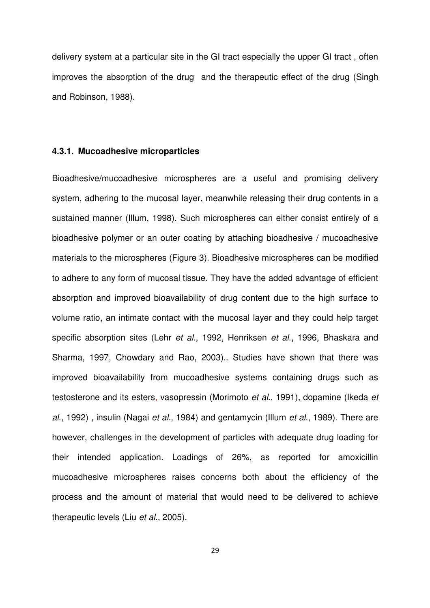delivery system at a particular site in the GI tract especially the upper GI tract , often improves the absorption of the drug and the therapeutic effect of the drug (Singh and Robinson, 1988).

# **4.3.1. Mucoadhesive microparticles**

Bioadhesive/mucoadhesive microspheres are a useful and promising delivery system, adhering to the mucosal layer, meanwhile releasing their drug contents in a sustained manner (Illum, 1998). Such microspheres can either consist entirely of a bioadhesive polymer or an outer coating by attaching bioadhesive / mucoadhesive materials to the microspheres (Figure 3). Bioadhesive microspheres can be modified to adhere to any form of mucosal tissue. They have the added advantage of efficient absorption and improved bioavailability of drug content due to the high surface to volume ratio, an intimate contact with the mucosal layer and they could help target specific absorption sites (Lehr et al., 1992, Henriksen et al., 1996, Bhaskara and Sharma, 1997, Chowdary and Rao, 2003).. Studies have shown that there was improved bioavailability from mucoadhesive systems containing drugs such as testosterone and its esters, vasopressin (Morimoto et al., 1991), dopamine (Ikeda et al., 1992), insulin (Nagai et al., 1984) and gentamycin (Illum et al., 1989). There are however, challenges in the development of particles with adequate drug loading for their intended application. Loadings of 26%, as reported for amoxicillin mucoadhesive microspheres raises concerns both about the efficiency of the process and the amount of material that would need to be delivered to achieve therapeutic levels (Liu et al., 2005).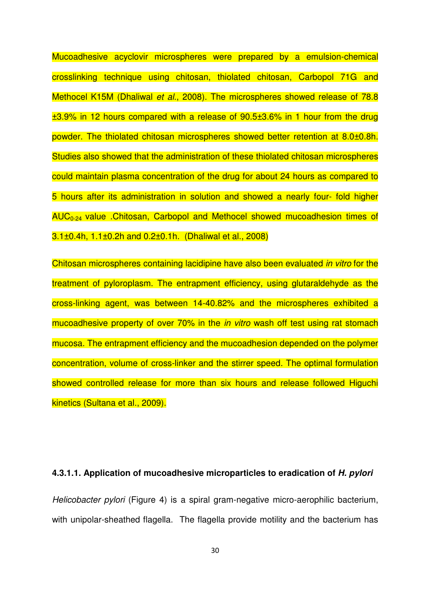Mucoadhesive acyclovir microspheres were prepared by a emulsion-chemical crosslinking technique using chitosan, thiolated chitosan, Carbopol 71G and Methocel K15M (Dhaliwal et al., 2008). The microspheres showed release of 78.8  $±3.9\%$  in 12 hours compared with a release of 90.5 $±3.6\%$  in 1 hour from the drug powder. The thiolated chitosan microspheres showed better retention at 8.0±0.8h. Studies also showed that the administration of these thiolated chitosan microspheres could maintain plasma concentration of the drug for about 24 hours as compared to 5 hours after its administration in solution and showed a nearly four- fold higher AUC0-24 value .Chitosan, Carbopol and Methocel showed mucoadhesion times of 3.1±0.4h, 1.1±0.2h and 0.2±0.1h. (Dhaliwal et al., 2008)

Chitosan microspheres containing lacidipine have also been evaluated in vitro for the treatment of pyloroplasm. The entrapment efficiency, using glutaraldehyde as the cross-linking agent, was between 14-40.82% and the microspheres exhibited a mucoadhesive property of over 70% in the *in vitro* wash off test using rat stomach mucosa. The entrapment efficiency and the mucoadhesion depended on the polymer concentration, volume of cross-linker and the stirrer speed. The optimal formulation showed controlled release for more than six hours and release followed Higuchi kinetics (Sultana et al., 2009).

#### **4.3.1.1. Application of mucoadhesive microparticles to eradication of H. pylori**

Helicobacter pylori (Figure 4) is a spiral gram-negative micro-aerophilic bacterium, with unipolar-sheathed flagella. The flagella provide motility and the bacterium has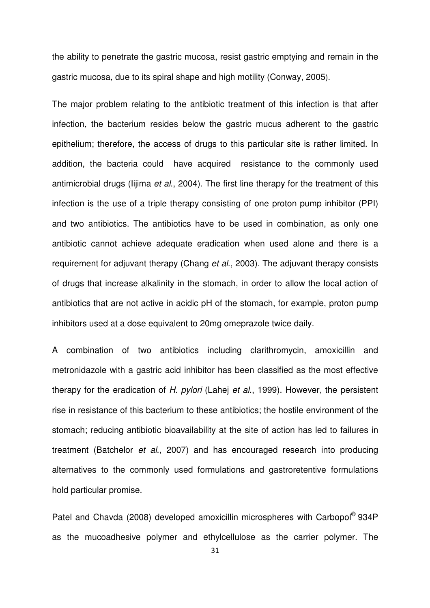the ability to penetrate the gastric mucosa, resist gastric emptying and remain in the gastric mucosa, due to its spiral shape and high motility (Conway, 2005).

The major problem relating to the antibiotic treatment of this infection is that after infection, the bacterium resides below the gastric mucus adherent to the gastric epithelium; therefore, the access of drugs to this particular site is rather limited. In addition, the bacteria could have acquired resistance to the commonly used antimicrobial drugs (Iijima et al., 2004). The first line therapy for the treatment of this infection is the use of a triple therapy consisting of one proton pump inhibitor (PPI) and two antibiotics. The antibiotics have to be used in combination, as only one antibiotic cannot achieve adequate eradication when used alone and there is a requirement for adjuvant therapy (Chang et al., 2003). The adjuvant therapy consists of drugs that increase alkalinity in the stomach, in order to allow the local action of antibiotics that are not active in acidic pH of the stomach, for example, proton pump inhibitors used at a dose equivalent to 20mg omeprazole twice daily.

A combination of two antibiotics including clarithromycin, amoxicillin and metronidazole with a gastric acid inhibitor has been classified as the most effective therapy for the eradication of H. pylori (Lahej et al., 1999). However, the persistent rise in resistance of this bacterium to these antibiotics; the hostile environment of the stomach; reducing antibiotic bioavailability at the site of action has led to failures in treatment (Batchelor et al., 2007) and has encouraged research into producing alternatives to the commonly used formulations and gastroretentive formulations hold particular promise.

Patel and Chavda (2008) developed amoxicillin microspheres with Carbopol<sup>®</sup> 934P as the mucoadhesive polymer and ethylcellulose as the carrier polymer. The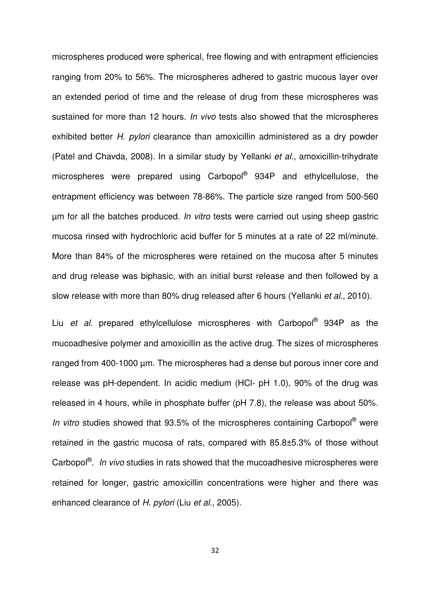microspheres produced were spherical, free flowing and with entrapment efficiencies ranging from 20% to 56%. The microspheres adhered to gastric mucous layer over an extended period of time and the release of drug from these microspheres was sustained for more than 12 hours. In vivo tests also showed that the microspheres exhibited better H. pylori clearance than amoxicillin administered as a dry powder (Patel and Chavda, 2008). In a similar study by Yellanki et al., amoxicillin-trihydrate microspheres were prepared using Carbopol<sup>®</sup> 934P and ethylcellulose, the entrapment efficiency was between 78-86%. The particle size ranged from 500-560 µm for all the batches produced. In vitro tests were carried out using sheep gastric mucosa rinsed with hydrochloric acid buffer for 5 minutes at a rate of 22 ml/minute. More than 84% of the microspheres were retained on the mucosa after 5 minutes and drug release was biphasic, with an initial burst release and then followed by a slow release with more than 80% drug released after 6 hours (Yellanki et al., 2010).

Liu et al. prepared ethylcellulose microspheres with Carbopol<sup>®</sup> 934P as the mucoadhesive polymer and amoxicillin as the active drug. The sizes of microspheres ranged from 400-1000 µm. The microspheres had a dense but porous inner core and release was pH-dependent. In acidic medium (HCl- pH 1.0), 90% of the drug was released in 4 hours, while in phosphate buffer (pH 7.8), the release was about 50%. In vitro studies showed that 93.5% of the microspheres containing Carbopol® were retained in the gastric mucosa of rats, compared with 85.8±5.3% of those without Carbopol<sup>®</sup>. In vivo studies in rats showed that the mucoadhesive microspheres were retained for longer, gastric amoxicillin concentrations were higher and there was enhanced clearance of H. pylori (Liu et al., 2005).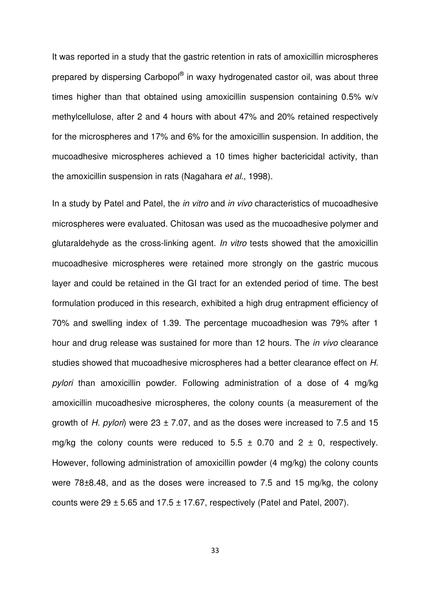It was reported in a study that the gastric retention in rats of amoxicillin microspheres prepared by dispersing Carbopol® in waxy hydrogenated castor oil, was about three times higher than that obtained using amoxicillin suspension containing 0.5% w/v methylcellulose, after 2 and 4 hours with about 47% and 20% retained respectively for the microspheres and 17% and 6% for the amoxicillin suspension. In addition, the mucoadhesive microspheres achieved a 10 times higher bactericidal activity, than the amoxicillin suspension in rats (Nagahara et al., 1998).

In a study by Patel and Patel, the *in vitro* and *in vivo* characteristics of mucoadhesive microspheres were evaluated. Chitosan was used as the mucoadhesive polymer and glutaraldehyde as the cross-linking agent. In vitro tests showed that the amoxicillin mucoadhesive microspheres were retained more strongly on the gastric mucous layer and could be retained in the GI tract for an extended period of time. The best formulation produced in this research, exhibited a high drug entrapment efficiency of 70% and swelling index of 1.39. The percentage mucoadhesion was 79% after 1 hour and drug release was sustained for more than 12 hours. The *in vivo* clearance studies showed that mucoadhesive microspheres had a better clearance effect on H. pylori than amoxicillin powder. Following administration of a dose of 4 mg/kg amoxicillin mucoadhesive microspheres, the colony counts (a measurement of the growth of H. pylori) were 23  $\pm$  7.07, and as the doses were increased to 7.5 and 15 mg/kg the colony counts were reduced to 5.5  $\pm$  0.70 and 2  $\pm$  0, respectively. However, following administration of amoxicillin powder (4 mg/kg) the colony counts were 78±8.48, and as the doses were increased to 7.5 and 15 mg/kg, the colony counts were  $29 \pm 5.65$  and  $17.5 \pm 17.67$ , respectively (Patel and Patel, 2007).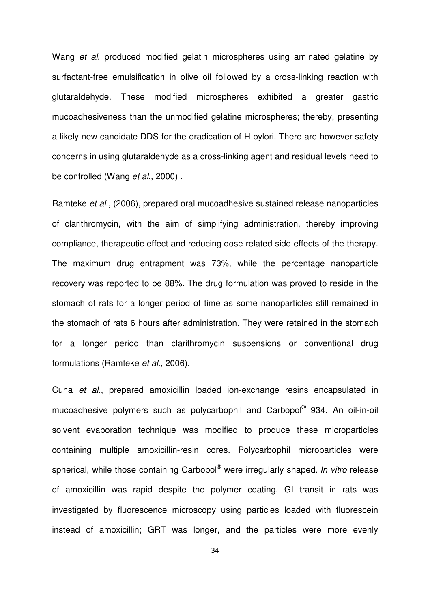Wang et al. produced modified gelatin microspheres using aminated gelatine by surfactant-free emulsification in olive oil followed by a cross-linking reaction with glutaraldehyde. These modified microspheres exhibited a greater gastric mucoadhesiveness than the unmodified gelatine microspheres; thereby, presenting a likely new candidate DDS for the eradication of H-pylori. There are however safety concerns in using glutaraldehyde as a cross-linking agent and residual levels need to be controlled (Wang et al., 2000).

Ramteke et al., (2006), prepared oral mucoadhesive sustained release nanoparticles of clarithromycin, with the aim of simplifying administration, thereby improving compliance, therapeutic effect and reducing dose related side effects of the therapy. The maximum drug entrapment was 73%, while the percentage nanoparticle recovery was reported to be 88%. The drug formulation was proved to reside in the stomach of rats for a longer period of time as some nanoparticles still remained in the stomach of rats 6 hours after administration. They were retained in the stomach for a longer period than clarithromycin suspensions or conventional drug formulations (Ramteke et al., 2006).

Cuna et al., prepared amoxicillin loaded ion-exchange resins encapsulated in mucoadhesive polymers such as polycarbophil and Carbopol® 934. An oil-in-oil solvent evaporation technique was modified to produce these microparticles containing multiple amoxicillin-resin cores. Polycarbophil microparticles were spherical, while those containing Carbopol<sup>®</sup> were irregularly shaped. In vitro release of amoxicillin was rapid despite the polymer coating. GI transit in rats was investigated by fluorescence microscopy using particles loaded with fluorescein instead of amoxicillin; GRT was longer, and the particles were more evenly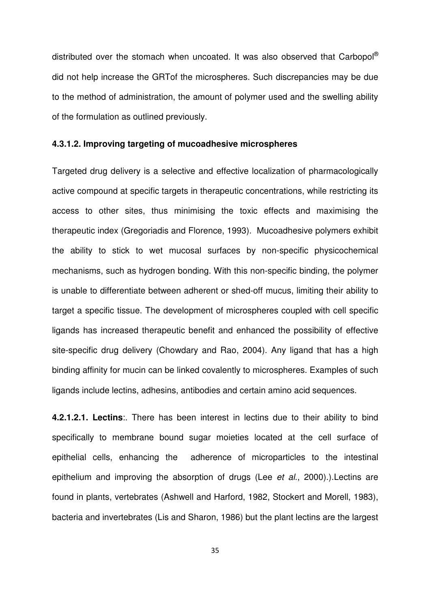distributed over the stomach when uncoated. It was also observed that Carbopol® did not help increase the GRTof the microspheres. Such discrepancies may be due to the method of administration, the amount of polymer used and the swelling ability of the formulation as outlined previously.

#### **4.3.1.2. Improving targeting of mucoadhesive microspheres**

Targeted drug delivery is a selective and effective localization of pharmacologically active compound at specific targets in therapeutic concentrations, while restricting its access to other sites, thus minimising the toxic effects and maximising the therapeutic index (Gregoriadis and Florence, 1993). Mucoadhesive polymers exhibit the ability to stick to wet mucosal surfaces by non-specific physicochemical mechanisms, such as hydrogen bonding. With this non-specific binding, the polymer is unable to differentiate between adherent or shed-off mucus, limiting their ability to target a specific tissue. The development of microspheres coupled with cell specific ligands has increased therapeutic benefit and enhanced the possibility of effective site-specific drug delivery (Chowdary and Rao, 2004). Any ligand that has a high binding affinity for mucin can be linked covalently to microspheres. Examples of such ligands include lectins, adhesins, antibodies and certain amino acid sequences.

**4.2.1.2.1. Lectins**:. There has been interest in lectins due to their ability to bind specifically to membrane bound sugar moieties located at the cell surface of epithelial cells, enhancing the adherence of microparticles to the intestinal epithelium and improving the absorption of drugs (Lee et al., 2000).). Lectins are found in plants, vertebrates (Ashwell and Harford, 1982, Stockert and Morell, 1983), bacteria and invertebrates (Lis and Sharon, 1986) but the plant lectins are the largest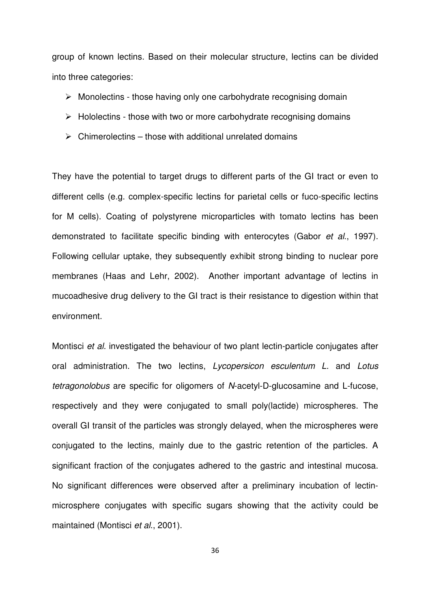group of known lectins. Based on their molecular structure, lectins can be divided into three categories:

- $\triangleright$  Monolectins those having only one carbohydrate recognising domain
- $\triangleright$  Hololectins those with two or more carbohydrate recognising domains
- $\triangleright$  Chimerolectins those with additional unrelated domains

They have the potential to target drugs to different parts of the GI tract or even to different cells (e.g. complex-specific lectins for parietal cells or fuco-specific lectins for M cells). Coating of polystyrene microparticles with tomato lectins has been demonstrated to facilitate specific binding with enterocytes (Gabor et al., 1997). Following cellular uptake, they subsequently exhibit strong binding to nuclear pore membranes (Haas and Lehr, 2002). Another important advantage of lectins in mucoadhesive drug delivery to the GI tract is their resistance to digestion within that environment.

Montisci et al. investigated the behaviour of two plant lectin-particle conjugates after oral administration. The two lectins, Lycopersicon esculentum L. and Lotus tetragonolobus are specific for oligomers of N-acetyl-D-glucosamine and L-fucose, respectively and they were conjugated to small poly(lactide) microspheres. The overall GI transit of the particles was strongly delayed, when the microspheres were conjugated to the lectins, mainly due to the gastric retention of the particles. A significant fraction of the conjugates adhered to the gastric and intestinal mucosa. No significant differences were observed after a preliminary incubation of lectinmicrosphere conjugates with specific sugars showing that the activity could be maintained (Montisci et al., 2001).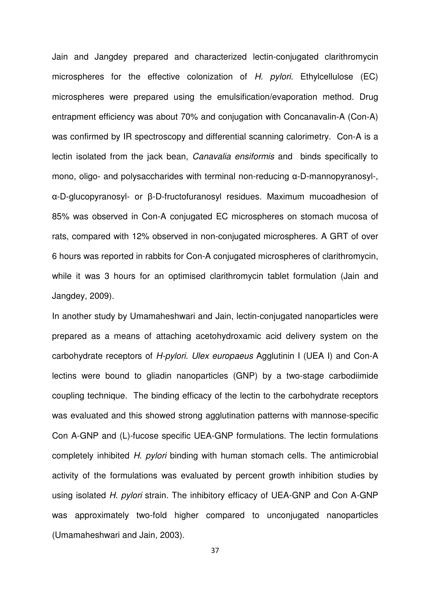Jain and Jangdey prepared and characterized lectin-conjugated clarithromycin microspheres for the effective colonization of H. pylori. Ethylcellulose (EC) microspheres were prepared using the emulsification/evaporation method. Drug entrapment efficiency was about 70% and conjugation with Concanavalin-A (Con-A) was confirmed by IR spectroscopy and differential scanning calorimetry. Con-A is a lectin isolated from the jack bean, Canavalia ensiformis and binds specifically to mono, oligo- and polysaccharides with terminal non-reducing α-D-mannopyranosyl-, α-D-glucopyranosyl- or β-D-fructofuranosyl residues. Maximum mucoadhesion of 85% was observed in Con-A conjugated EC microspheres on stomach mucosa of rats, compared with 12% observed in non-conjugated microspheres. A GRT of over 6 hours was reported in rabbits for Con-A conjugated microspheres of clarithromycin, while it was 3 hours for an optimised clarithromycin tablet formulation (Jain and Jangdey, 2009).

In another study by Umamaheshwari and Jain, lectin-conjugated nanoparticles were prepared as a means of attaching acetohydroxamic acid delivery system on the carbohydrate receptors of H-pylori. Ulex europaeus Agglutinin I (UEA I) and Con-A lectins were bound to gliadin nanoparticles (GNP) by a two-stage carbodiimide coupling technique. The binding efficacy of the lectin to the carbohydrate receptors was evaluated and this showed strong agglutination patterns with mannose-specific Con A-GNP and (L)-fucose specific UEA-GNP formulations. The lectin formulations completely inhibited H. pylori binding with human stomach cells. The antimicrobial activity of the formulations was evaluated by percent growth inhibition studies by using isolated H. pylori strain. The inhibitory efficacy of UEA-GNP and Con A-GNP was approximately two-fold higher compared to unconjugated nanoparticles (Umamaheshwari and Jain, 2003).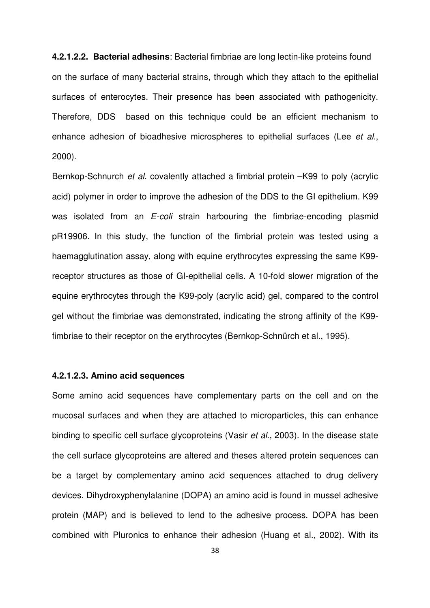**4.2.1.2.2. Bacterial adhesins**: Bacterial fimbriae are long lectin-like proteins found on the surface of many bacterial strains, through which they attach to the epithelial surfaces of enterocytes. Their presence has been associated with pathogenicity. Therefore, DDS based on this technique could be an efficient mechanism to enhance adhesion of bioadhesive microspheres to epithelial surfaces (Lee et al., 2000).

Bernkop-Schnurch *et al.* covalently attached a fimbrial protein –K99 to poly (acrylic acid) polymer in order to improve the adhesion of the DDS to the GI epithelium. K99 was isolated from an *E-coli* strain harbouring the fimbriae-encoding plasmid pR19906. In this study, the function of the fimbrial protein was tested using a haemagglutination assay, along with equine erythrocytes expressing the same K99 receptor structures as those of GI-epithelial cells. A 10-fold slower migration of the equine erythrocytes through the K99-poly (acrylic acid) gel, compared to the control gel without the fimbriae was demonstrated, indicating the strong affinity of the K99 fimbriae to their receptor on the erythrocytes (Bernkop-Schnürch et al., 1995).

### **4.2.1.2.3. Amino acid sequences**

Some amino acid sequences have complementary parts on the cell and on the mucosal surfaces and when they are attached to microparticles, this can enhance binding to specific cell surface glycoproteins (Vasir *et al.*, 2003). In the disease state the cell surface glycoproteins are altered and theses altered protein sequences can be a target by complementary amino acid sequences attached to drug delivery devices. Dihydroxyphenylalanine (DOPA) an amino acid is found in mussel adhesive protein (MAP) and is believed to lend to the adhesive process. DOPA has been combined with Pluronics to enhance their adhesion (Huang et al., 2002). With its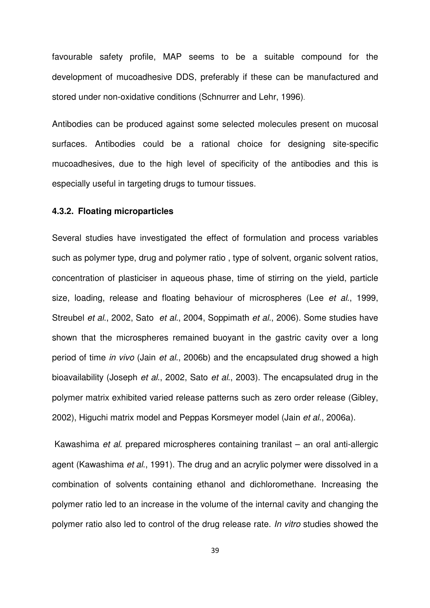favourable safety profile, MAP seems to be a suitable compound for the development of mucoadhesive DDS, preferably if these can be manufactured and stored under non-oxidative conditions (Schnurrer and Lehr, 1996).

Antibodies can be produced against some selected molecules present on mucosal surfaces. Antibodies could be a rational choice for designing site-specific mucoadhesives, due to the high level of specificity of the antibodies and this is especially useful in targeting drugs to tumour tissues.

# **4.3.2. Floating microparticles**

Several studies have investigated the effect of formulation and process variables such as polymer type, drug and polymer ratio , type of solvent, organic solvent ratios, concentration of plasticiser in aqueous phase, time of stirring on the yield, particle size, loading, release and floating behaviour of microspheres (Lee et al., 1999, Streubel et al., 2002, Sato et al., 2004, Soppimath et al., 2006). Some studies have shown that the microspheres remained buoyant in the gastric cavity over a long period of time in vivo (Jain et al., 2006b) and the encapsulated drug showed a high bioavailability (Joseph et al., 2002, Sato et al., 2003). The encapsulated drug in the polymer matrix exhibited varied release patterns such as zero order release (Gibley, 2002), Higuchi matrix model and Peppas Korsmeyer model (Jain et al., 2006a).

 Kawashima et al. prepared microspheres containing tranilast – an oral anti-allergic agent (Kawashima et al., 1991). The drug and an acrylic polymer were dissolved in a combination of solvents containing ethanol and dichloromethane. Increasing the polymer ratio led to an increase in the volume of the internal cavity and changing the polymer ratio also led to control of the drug release rate. In vitro studies showed the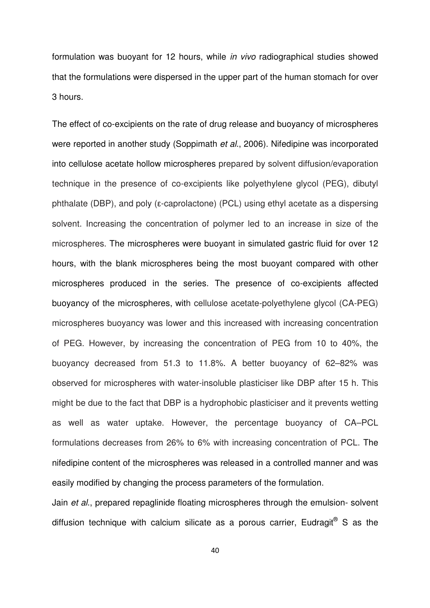formulation was buoyant for 12 hours, while in vivo radiographical studies showed that the formulations were dispersed in the upper part of the human stomach for over 3 hours.

The effect of co-excipients on the rate of drug release and buoyancy of microspheres were reported in another study (Soppimath et al., 2006). Nifedipine was incorporated into cellulose acetate hollow microspheres prepared by solvent diffusion/evaporation technique in the presence of co-excipients like polyethylene glycol (PEG), dibutyl phthalate (DBP), and poly (ε-caprolactone) (PCL) using ethyl acetate as a dispersing solvent. Increasing the concentration of polymer led to an increase in size of the microspheres. The microspheres were buoyant in simulated gastric fluid for over 12 hours, with the blank microspheres being the most buoyant compared with other microspheres produced in the series. The presence of co-excipients affected buoyancy of the microspheres, with cellulose acetate-polyethylene glycol (CA-PEG) microspheres buoyancy was lower and this increased with increasing concentration of PEG. However, by increasing the concentration of PEG from 10 to 40%, the buoyancy decreased from 51.3 to 11.8%. A better buoyancy of 62–82% was observed for microspheres with water-insoluble plasticiser like DBP after 15 h. This might be due to the fact that DBP is a hydrophobic plasticiser and it prevents wetting as well as water uptake. However, the percentage buoyancy of CA–PCL formulations decreases from 26% to 6% with increasing concentration of PCL. The nifedipine content of the microspheres was released in a controlled manner and was easily modified by changing the process parameters of the formulation.

Jain et al., prepared repaglinide floating microspheres through the emulsion- solvent diffusion technique with calcium silicate as a porous carrier, Eudragit® S as the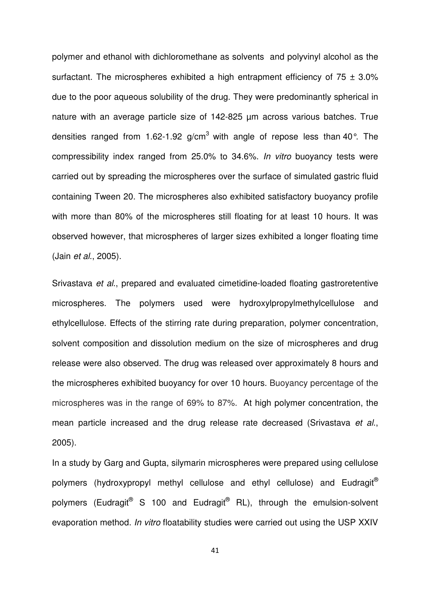polymer and ethanol with dichloromethane as solvents and polyvinyl alcohol as the surfactant. The microspheres exhibited a high entrapment efficiency of  $75 \pm 3.0\%$ due to the poor aqueous solubility of the drug. They were predominantly spherical in nature with an average particle size of 142-825 µm across various batches. True densities ranged from 1.62-1.92 g/cm<sup>3</sup> with angle of repose less than 40°. The compressibility index ranged from 25.0% to 34.6%. In vitro buoyancy tests were carried out by spreading the microspheres over the surface of simulated gastric fluid containing Tween 20. The microspheres also exhibited satisfactory buoyancy profile with more than 80% of the microspheres still floating for at least 10 hours. It was observed however, that microspheres of larger sizes exhibited a longer floating time (Jain et al., 2005).

Srivastava et al., prepared and evaluated cimetidine-loaded floating gastroretentive microspheres. The polymers used were hydroxylpropylmethylcellulose and ethylcellulose. Effects of the stirring rate during preparation, polymer concentration, solvent composition and dissolution medium on the size of microspheres and drug release were also observed. The drug was released over approximately 8 hours and the microspheres exhibited buoyancy for over 10 hours. Buoyancy percentage of the microspheres was in the range of 69% to 87%. At high polymer concentration, the mean particle increased and the drug release rate decreased (Srivastava et al., 2005).

In a study by Garg and Gupta, silymarin microspheres were prepared using cellulose polymers (hydroxypropyl methyl cellulose and ethyl cellulose) and Eudragit<sup>®</sup> polymers (Eudragit® S 100 and Eudragit<sup>®</sup> RL), through the emulsion-solvent evaporation method. In vitro floatability studies were carried out using the USP XXIV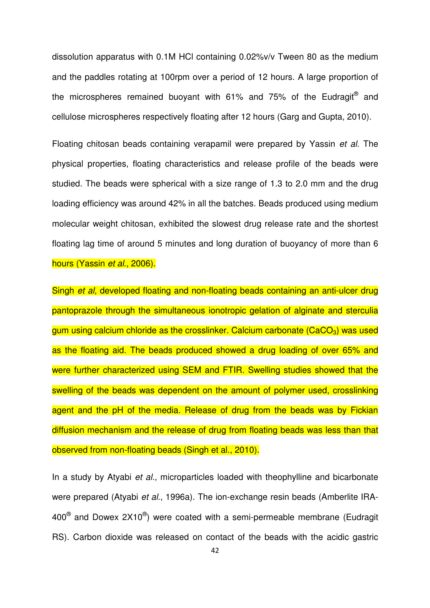dissolution apparatus with 0.1M HCl containing 0.02%v/v Tween 80 as the medium and the paddles rotating at 100rpm over a period of 12 hours. A large proportion of the microspheres remained buoyant with 61% and 75% of the Eudragit $^{\circledR}$  and cellulose microspheres respectively floating after 12 hours (Garg and Gupta, 2010).

Floating chitosan beads containing verapamil were prepared by Yassin et al. The physical properties, floating characteristics and release profile of the beads were studied. The beads were spherical with a size range of 1.3 to 2.0 mm and the drug loading efficiency was around 42% in all the batches. Beads produced using medium molecular weight chitosan, exhibited the slowest drug release rate and the shortest floating lag time of around 5 minutes and long duration of buoyancy of more than 6 hours (Yassin et al., 2006).

Singh et al, developed floating and non-floating beads containing an anti-ulcer drug pantoprazole through the simultaneous ionotropic gelation of alginate and sterculia gum using calcium chloride as the crosslinker. Calcium carbonate ( $CaCO<sub>3</sub>$ ) was used as the floating aid. The beads produced showed a drug loading of over 65% and were further characterized using SEM and FTIR. Swelling studies showed that the swelling of the beads was dependent on the amount of polymer used, crosslinking agent and the pH of the media. Release of drug from the beads was by Fickian diffusion mechanism and the release of drug from floating beads was less than that observed from non-floating beads (Singh et al., 2010).

In a study by Atyabi et al., microparticles loaded with theophylline and bicarbonate were prepared (Atyabi et al., 1996a). The ion-exchange resin beads (Amberlite IRA-400 $^{\circledR}$  and Dowex 2X10 $^{\circledR}$ ) were coated with a semi-permeable membrane (Eudragit RS). Carbon dioxide was released on contact of the beads with the acidic gastric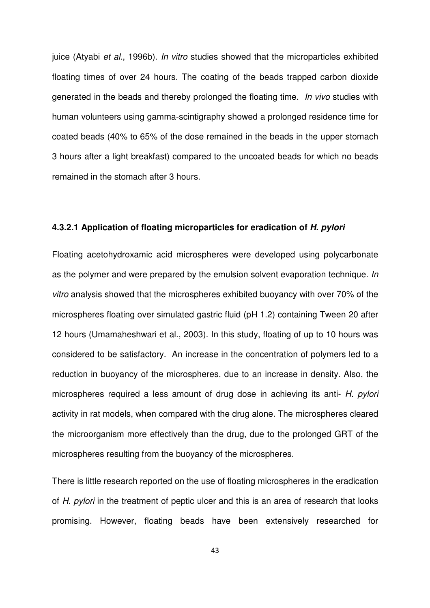juice (Atyabi et al., 1996b). In vitro studies showed that the microparticles exhibited floating times of over 24 hours. The coating of the beads trapped carbon dioxide generated in the beads and thereby prolonged the floating time. In vivo studies with human volunteers using gamma-scintigraphy showed a prolonged residence time for coated beads (40% to 65% of the dose remained in the beads in the upper stomach 3 hours after a light breakfast) compared to the uncoated beads for which no beads remained in the stomach after 3 hours.

### **4.3.2.1 Application of floating microparticles for eradication of H. pylori**

Floating acetohydroxamic acid microspheres were developed using polycarbonate as the polymer and were prepared by the emulsion solvent evaporation technique. In vitro analysis showed that the microspheres exhibited buoyancy with over 70% of the microspheres floating over simulated gastric fluid (pH 1.2) containing Tween 20 after 12 hours (Umamaheshwari et al., 2003). In this study, floating of up to 10 hours was considered to be satisfactory. An increase in the concentration of polymers led to a reduction in buoyancy of the microspheres, due to an increase in density. Also, the microspheres required a less amount of drug dose in achieving its anti- H. pylori activity in rat models, when compared with the drug alone. The microspheres cleared the microorganism more effectively than the drug, due to the prolonged GRT of the microspheres resulting from the buoyancy of the microspheres.

There is little research reported on the use of floating microspheres in the eradication of H. pylori in the treatment of peptic ulcer and this is an area of research that looks promising. However, floating beads have been extensively researched for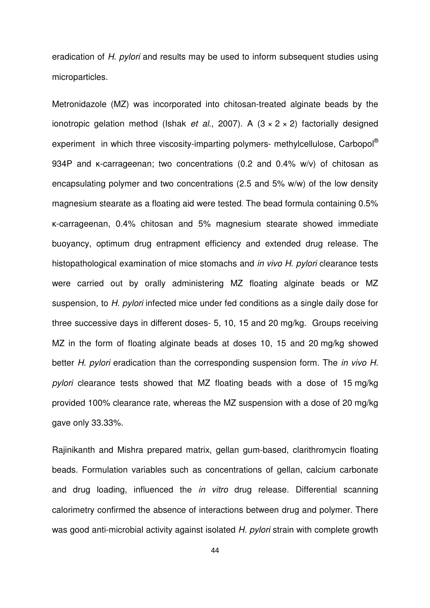eradication of H. pylori and results may be used to inform subsequent studies using microparticles.

Metronidazole (MZ) was incorporated into chitosan-treated alginate beads by the ionotropic gelation method (Ishak et al., 2007). A  $(3 \times 2 \times 2)$  factorially designed experiment in which three viscosity-imparting polymers- methylcellulose, Carbopol<sup>®</sup> 934P and κ-carrageenan; two concentrations (0.2 and 0.4% w/v) of chitosan as encapsulating polymer and two concentrations (2.5 and 5% w/w) of the low density magnesium stearate as a floating aid were tested. The bead formula containing 0.5% κ-carrageenan, 0.4% chitosan and 5% magnesium stearate showed immediate buoyancy, optimum drug entrapment efficiency and extended drug release. The histopathological examination of mice stomachs and *in vivo H. pylori* clearance tests were carried out by orally administering MZ floating alginate beads or MZ suspension, to H. pylori infected mice under fed conditions as a single daily dose for three successive days in different doses- 5, 10, 15 and 20 mg/kg. Groups receiving MZ in the form of floating alginate beads at doses 10, 15 and 20 mg/kg showed better H. pylori eradication than the corresponding suspension form. The in vivo H. pylori clearance tests showed that MZ floating beads with a dose of 15 mg/kg provided 100% clearance rate, whereas the MZ suspension with a dose of 20 mg/kg gave only 33.33%.

Rajinikanth and Mishra prepared matrix, gellan gum-based, clarithromycin floating beads. Formulation variables such as concentrations of gellan, calcium carbonate and drug loading, influenced the in vitro drug release. Differential scanning calorimetry confirmed the absence of interactions between drug and polymer. There was good anti-microbial activity against isolated H. pylori strain with complete growth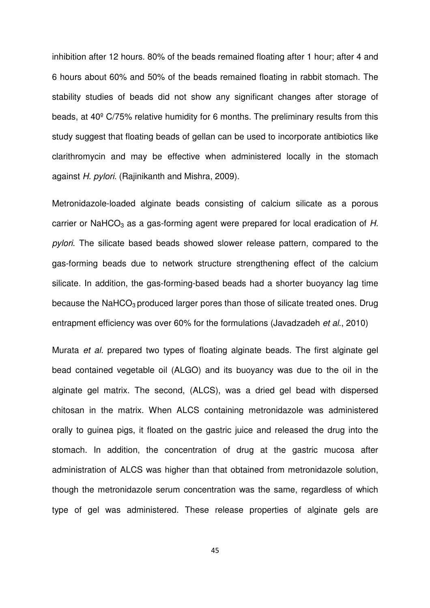inhibition after 12 hours. 80% of the beads remained floating after 1 hour; after 4 and 6 hours about 60% and 50% of the beads remained floating in rabbit stomach. The stability studies of beads did not show any significant changes after storage of beads, at 40º C/75% relative humidity for 6 months. The preliminary results from this study suggest that floating beads of gellan can be used to incorporate antibiotics like clarithromycin and may be effective when administered locally in the stomach against H. pylori. (Rajinikanth and Mishra, 2009).

Metronidazole-loaded alginate beads consisting of calcium silicate as a porous carrier or NaHCO<sub>3</sub> as a gas-forming agent were prepared for local eradication of  $H$ . pylori. The silicate based beads showed slower release pattern, compared to the gas-forming beads due to network structure strengthening effect of the calcium silicate. In addition, the gas-forming-based beads had a shorter buoyancy lag time because the NaHCO<sub>3</sub> produced larger pores than those of silicate treated ones. Drug entrapment efficiency was over 60% for the formulations (Javadzadeh et al., 2010)

Murata et al. prepared two types of floating alginate beads. The first alginate gel bead contained vegetable oil (ALGO) and its buoyancy was due to the oil in the alginate gel matrix. The second, (ALCS), was a dried gel bead with dispersed chitosan in the matrix. When ALCS containing metronidazole was administered orally to guinea pigs, it floated on the gastric juice and released the drug into the stomach. In addition, the concentration of drug at the gastric mucosa after administration of ALCS was higher than that obtained from metronidazole solution, though the metronidazole serum concentration was the same, regardless of which type of gel was administered. These release properties of alginate gels are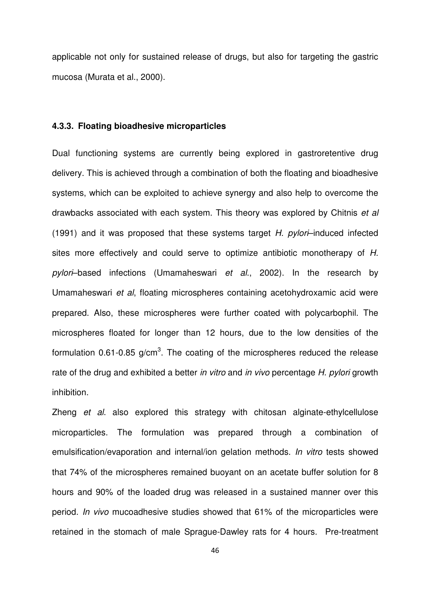applicable not only for sustained release of drugs, but also for targeting the gastric mucosa (Murata et al., 2000).

### **4.3.3. Floating bioadhesive microparticles**

Dual functioning systems are currently being explored in gastroretentive drug delivery. This is achieved through a combination of both the floating and bioadhesive systems, which can be exploited to achieve synergy and also help to overcome the drawbacks associated with each system. This theory was explored by Chitnis et al (1991) and it was proposed that these systems target  $H$ . pylori-induced infected sites more effectively and could serve to optimize antibiotic monotherapy of H. pylori–based infections (Umamaheswari et al., 2002). In the research by Umamaheswari et al, floating microspheres containing acetohydroxamic acid were prepared. Also, these microspheres were further coated with polycarbophil. The microspheres floated for longer than 12 hours, due to the low densities of the formulation 0.61-0.85 g/cm<sup>3</sup>. The coating of the microspheres reduced the release rate of the drug and exhibited a better in vitro and in vivo percentage H. pylori growth inhibition.

Zheng et al. also explored this strategy with chitosan alginate-ethylcellulose microparticles. The formulation was prepared through a combination of emulsification/evaporation and internal/ion gelation methods. In vitro tests showed that 74% of the microspheres remained buoyant on an acetate buffer solution for 8 hours and 90% of the loaded drug was released in a sustained manner over this period. In vivo mucoadhesive studies showed that 61% of the microparticles were retained in the stomach of male Sprague-Dawley rats for 4 hours. Pre-treatment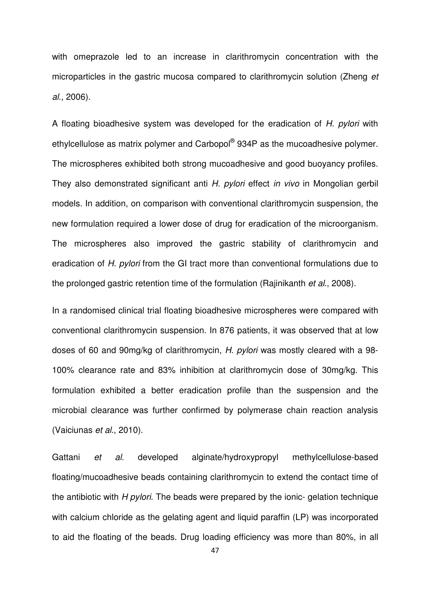with omeprazole led to an increase in clarithromycin concentration with the microparticles in the gastric mucosa compared to clarithromycin solution (Zheng et al., 2006).

A floating bioadhesive system was developed for the eradication of H. pylori with ethylcellulose as matrix polymer and Carbopol® 934P as the mucoadhesive polymer. The microspheres exhibited both strong mucoadhesive and good buoyancy profiles. They also demonstrated significant anti H. pylori effect in vivo in Mongolian gerbil models. In addition, on comparison with conventional clarithromycin suspension, the new formulation required a lower dose of drug for eradication of the microorganism. The microspheres also improved the gastric stability of clarithromycin and eradication of H. pylori from the GI tract more than conventional formulations due to the prolonged gastric retention time of the formulation (Rajinikanth et al., 2008).

In a randomised clinical trial floating bioadhesive microspheres were compared with conventional clarithromycin suspension. In 876 patients, it was observed that at low doses of 60 and 90mg/kg of clarithromycin, H. pylori was mostly cleared with a 98- 100% clearance rate and 83% inhibition at clarithromycin dose of 30mg/kg. This formulation exhibited a better eradication profile than the suspension and the microbial clearance was further confirmed by polymerase chain reaction analysis (Vaiciunas et al., 2010).

Gattani et al. developed alginate/hydroxypropyl methylcellulose-based floating/mucoadhesive beads containing clarithromycin to extend the contact time of the antibiotic with  $H$  *pylori*. The beads were prepared by the ionic- gelation technique with calcium chloride as the gelating agent and liquid paraffin (LP) was incorporated to aid the floating of the beads. Drug loading efficiency was more than 80%, in all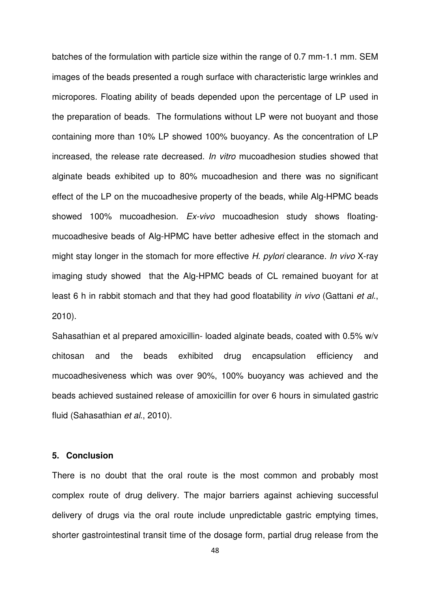batches of the formulation with particle size within the range of 0.7 mm-1.1 mm. SEM images of the beads presented a rough surface with characteristic large wrinkles and micropores. Floating ability of beads depended upon the percentage of LP used in the preparation of beads. The formulations without LP were not buoyant and those containing more than 10% LP showed 100% buoyancy. As the concentration of LP increased, the release rate decreased. In vitro mucoadhesion studies showed that alginate beads exhibited up to 80% mucoadhesion and there was no significant effect of the LP on the mucoadhesive property of the beads, while Alg-HPMC beads showed 100% mucoadhesion. Ex-vivo mucoadhesion study shows floatingmucoadhesive beads of Alg-HPMC have better adhesive effect in the stomach and might stay longer in the stomach for more effective H. pylori clearance. In vivo X-ray imaging study showed that the Alg-HPMC beads of CL remained buoyant for at least 6 h in rabbit stomach and that they had good floatability in vivo (Gattani et al., 2010).

Sahasathian et al prepared amoxicillin- loaded alginate beads, coated with 0.5% w/v chitosan and the beads exhibited drug encapsulation efficiency and mucoadhesiveness which was over 90%, 100% buoyancy was achieved and the beads achieved sustained release of amoxicillin for over 6 hours in simulated gastric fluid (Sahasathian et al., 2010).

### **5. Conclusion**

There is no doubt that the oral route is the most common and probably most complex route of drug delivery. The major barriers against achieving successful delivery of drugs via the oral route include unpredictable gastric emptying times, shorter gastrointestinal transit time of the dosage form, partial drug release from the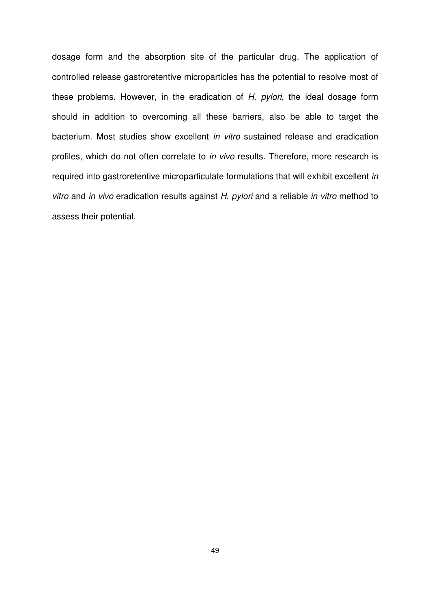dosage form and the absorption site of the particular drug. The application of controlled release gastroretentive microparticles has the potential to resolve most of these problems. However, in the eradication of  $H$ . pylori, the ideal dosage form should in addition to overcoming all these barriers, also be able to target the bacterium. Most studies show excellent in vitro sustained release and eradication profiles, which do not often correlate to in vivo results. Therefore, more research is required into gastroretentive microparticulate formulations that will exhibit excellent in vitro and in vivo eradication results against H. pylori and a reliable in vitro method to assess their potential.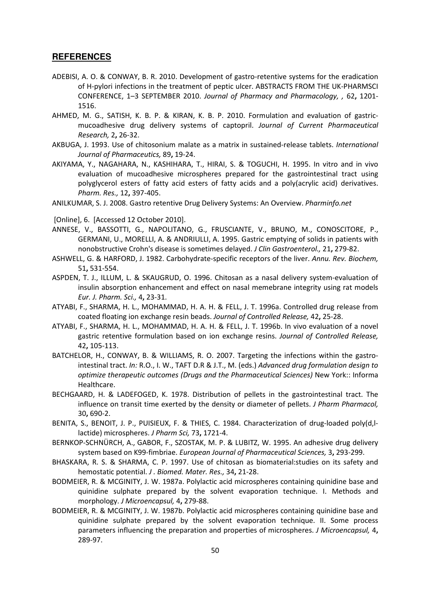#### **REFERENCES**

- ADEBISI, A. O. & CONWAY, B. R. 2010. Development of gastro-retentive systems for the eradication of H-pylori infections in the treatment of peptic ulcer. ABSTRACTS FROM THE UK-PHARMSCI CONFERENCE, 1–3 SEPTEMBER 2010. Journal of Pharmacy and Pharmacology, , 62, 1201- 1516.
- AHMED, M. G., SATISH, K. B. P. & KIRAN, K. B. P. 2010. Formulation and evaluation of gastricmucoadhesive drug delivery systems of captopril. Journal of Current Pharmaceutical Research, 2, 26-32.
- AKBUGA, J. 1993. Use of chitosonium malate as a matrix in sustained-release tablets. International Journal of Pharmaceutics, 89, 19-24.
- AKIYAMA, Y., NAGAHARA, N., KASHIHARA, T., HIRAI, S. & TOGUCHI, H. 1995. In vitro and in vivo evaluation of mucoadhesive microspheres prepared for the gastrointestinal tract using polyglycerol esters of fatty acid esters of fatty acids and a poly(acrylic acid) derivatives. Pharm. Res., 12, 397-405.
- ANILKUMAR, S. J. 2008. Gastro retentive Drug Delivery Systems: An Overview. Pharminfo.net

[Online], 6. [Accessed 12 October 2010].

- ANNESE, V., BASSOTTI, G., NAPOLITANO, G., FRUSCIANTE, V., BRUNO, M., CONOSCITORE, P., GERMANI, U., MORELLI, A. & ANDRIULLI, A. 1995. Gastric emptying of solids in patients with nonobstructive Crohn's disease is sometimes delayed. J Clin Gastroenterol., 21, 279-82.
- ASHWELL, G. & HARFORD, J. 1982. Carbohydrate-specific receptors of the liver. Annu. Rev. Biochem, 51, 531-554.
- ASPDEN, T. J., ILLUM, L. & SKAUGRUD, O. 1996. Chitosan as a nasal delivery system-evaluation of insulin absorption enhancement and effect on nasal memebrane integrity using rat models Eur. J. Pharm. Sci., 4, 23-31.
- ATYABI, F., SHARMA, H. L., MOHAMMAD, H. A. H. & FELL, J. T. 1996a. Controlled drug release from coated floating ion exchange resin beads. Journal of Controlled Release, 42, 25-28.
- ATYABI, F., SHARMA, H. L., MOHAMMAD, H. A. H. & FELL, J. T. 1996b. In vivo evaluation of a novel gastric retentive formulation based on ion exchange resins. Journal of Controlled Release, 42, 105-113.
- BATCHELOR, H., CONWAY, B. & WILLIAMS, R. O. 2007. Targeting the infections within the gastrointestinal tract. In: R.O., I. W., TAFT D.R & J.T., M. (eds.) Advanced drug formulation design to optimize therapeutic outcomes (Drugs and the Pharmaceutical Sciences) New York:: Informa Healthcare.
- BECHGAARD, H. & LADEFOGED, K. 1978. Distribution of pellets in the gastrointestinal tract. The influence on transit time exerted by the density or diameter of pellets. J Pharm Pharmacol, 30, 690-2.
- BENITA, S., BENOIT, J. P., PUISIEUX, F. & THIES, C. 1984. Characterization of drug-loaded poly(d,llactide) microspheres. J Pharm Sci, 73, 1721-4.
- BERNKOP-SCHNÜRCH, A., GABOR, F., SZOSTAK, M. P. & LUBITZ, W. 1995. An adhesive drug delivery system based on K99-fimbriae. European Journal of Pharmaceutical Sciences, 3, 293-299.
- BHASKARA, R. S. & SHARMA, C. P. 1997. Use of chitosan as biomaterial:studies on its safety and hemostatic potential. J. Biomed. Mater. Res., 34, 21-28.
- BODMEIER, R. & MCGINITY, J. W. 1987a. Polylactic acid microspheres containing quinidine base and quinidine sulphate prepared by the solvent evaporation technique. I. Methods and morphology. J Microencapsul, 4, 279-88.
- BODMEIER, R. & MCGINITY, J. W. 1987b. Polylactic acid microspheres containing quinidine base and quinidine sulphate prepared by the solvent evaporation technique. II. Some process parameters influencing the preparation and properties of microspheres. J Microencapsul, 4, 289-97.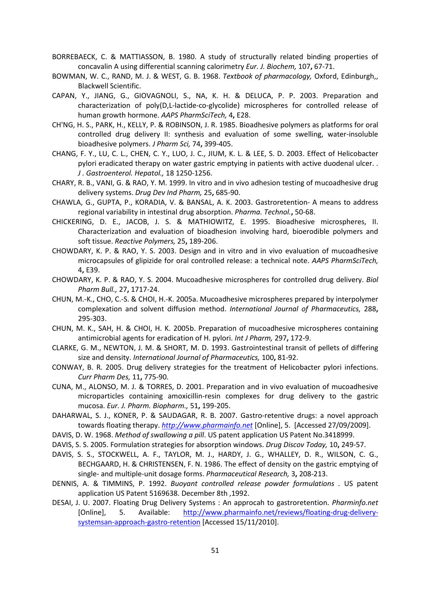- BORREBAECK, C. & MATTIASSON, B. 1980. A study of structurally related binding properties of concavalin A using differential scanning calorimetry Eur. J. Biochem, 107, 67-71.
- BOWMAN, W. C., RAND, M. J. & WEST, G. B. 1968. Textbook of pharmacology, Oxford, Edinburgh,, Blackwell Scientific.
- CAPAN, Y., JIANG, G., GIOVAGNOLI, S., NA, K. H. & DELUCA, P. P. 2003. Preparation and characterization of poly(D,L-lactide-co-glycolide) microspheres for controlled release of human growth hormone. AAPS PharmSciTech, 4, E28.
- CH'NG, H. S., PARK, H., KELLY, P. & ROBINSON, J. R. 1985. Bioadhesive polymers as platforms for oral controlled drug delivery II: synthesis and evaluation of some swelling, water-insoluble bioadhesive polymers. J Pharm Sci, 74, 399-405.
- CHANG, F. Y., LU, C. L., CHEN, C. Y., LUO, J. C., JIUM, K. L. & LEE, S. D. 2003. Effect of Helicobacter pylori eradicated therapy on water gastric emptying in patients with active duodenal ulcer. . J . Gastroenterol. Hepatol., 18 1250-1256.
- CHARY, R. B., VANI, G. & RAO, Y. M. 1999. In vitro and in vivo adhesion testing of mucoadhesive drug delivery systems. Drug Dev Ind Pharm, 25, 685-90.
- CHAWLA, G., GUPTA, P., KORADIA, V. & BANSAL, A. K. 2003. Gastroretention- A means to address regional variability in intestinal drug absorption. Pharma. Technol., 50-68.
- CHICKERING, D. E., JACOB, J. S. & MATHIOWITZ, E. 1995. Bioadhesive microspheres, II. Characterization and evaluation of bioadhesion involving hard, bioerodible polymers and soft tissue. Reactive Polymers, 25, 189-206.
- CHOWDARY, K. P. & RAO, Y. S. 2003. Design and in vitro and in vivo evaluation of mucoadhesive microcapsules of glipizide for oral controlled release: a technical note. AAPS PharmSciTech, 4, E39.
- CHOWDARY, K. P. & RAO, Y. S. 2004. Mucoadhesive microspheres for controlled drug delivery. Biol Pharm Bull., 27, 1717-24.
- CHUN, M.-K., CHO, C.-S. & CHOI, H.-K. 2005a. Mucoadhesive microspheres prepared by interpolymer complexation and solvent diffusion method. International Journal of Pharmaceutics, 288, 295-303.
- CHUN, M. K., SAH, H. & CHOI, H. K. 2005b. Preparation of mucoadhesive microspheres containing antimicrobial agents for eradication of H. pylori. Int J Pharm, 297, 172-9.
- CLARKE, G. M., NEWTON, J. M. & SHORT, M. D. 1993. Gastrointestinal transit of pellets of differing size and density. International Journal of Pharmaceutics, 100, 81-92.
- CONWAY, B. R. 2005. Drug delivery strategies for the treatment of Helicobacter pylori infections. Curr Pharm Des, 11, 775-90.
- CUNA, M., ALONSO, M. J. & TORRES, D. 2001. Preparation and in vivo evaluation of mucoadhesive microparticles containing amoxicillin-resin complexes for drug delivery to the gastric mucosa. Eur. J. Pharm. Biopharm., 51, 199-205.
- DAHARWAL, S. J., KONER, P. & SAUDAGAR, R. B. 2007. Gastro-retentive drugs: a novel approach towards floating therapy. http://www.pharmainfo.net [Online], 5. [Accessed 27/09/2009].
- DAVIS, D. W. 1968. Method of swallowing a pill. US patent application US Patent No.3418999.
- DAVIS, S. S. 2005. Formulation strategies for absorption windows. Drug Discov Today, 10, 249-57.
- DAVIS, S. S., STOCKWELL, A. F., TAYLOR, M. J., HARDY, J. G., WHALLEY, D. R., WILSON, C. G., BECHGAARD, H. & CHRISTENSEN, F. N. 1986. The effect of density on the gastric emptying of single- and multiple-unit dosage forms. Pharmaceutical Research, 3, 208-213.
- DENNIS, A. & TIMMINS, P. 1992. Buoyant controlled release powder formulations . US patent application US Patent 5169638. December 8th ,1992.
- DESAI, J. U. 2007. Floating Drug Delivery Systems : An approcah to gastroretention. Pharminfo.net [Online], 5. Available: http://www.pharmainfo.net/reviews/floating-drug-deliverysystemsan-approach-gastro-retention [Accessed 15/11/2010].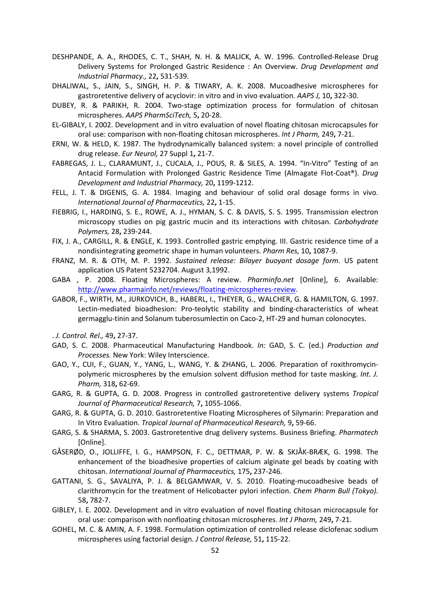- DESHPANDE, A. A., RHODES, C. T., SHAH, N. H. & MALICK, A. W. 1996. Controlled-Release Drug Delivery Systems for Prolonged Gastric Residence : An Overview. Drug Development and Industrial Pharmacy., 22, 531-539.
- DHALIWAL, S., JAIN, S., SINGH, H. P. & TIWARY, A. K. 2008. Mucoadhesive microspheres for gastroretentive delivery of acyclovir: in vitro and in vivo evaluation. AAPS J, 10, 322-30.
- DUBEY, R. & PARIKH, R. 2004. Two-stage optimization process for formulation of chitosan microspheres. AAPS PharmSciTech, 5, 20-28.
- EL-GIBALY, I. 2002. Development and in vitro evaluation of novel floating chitosan microcapsules for oral use: comparison with non-floating chitosan microspheres. Int J Pharm, 249, 7-21.
- ERNI, W. & HELD, K. 1987. The hydrodynamically balanced system: a novel principle of controlled drug release. Eur Neurol, 27 Suppl 1, 21-7.
- FABREGAS, J. L., CLARAMUNT, J., CUCALA, J., POUS, R. & SILES, A. 1994. "In-Vitro" Testing of an Antacid Formulation with Prolonged Gastric Residence Time (Almagate Flot-Coat®). Drug Development and Industrial Pharmacy, 20, 1199-1212.
- FELL, J. T. & DIGENIS, G. A. 1984. Imaging and behaviour of solid oral dosage forms in vivo. International Journal of Pharmaceutics, 22, 1-15.
- FIEBRIG, I., HARDING, S. E., ROWE, A. J., HYMAN, S. C. & DAVIS, S. S. 1995. Transmission electron microscopy studies on pig gastric mucin and its interactions with chitosan. Carbohydrate Polymers, 28, 239-244.
- FIX, J. A., CARGILL, R. & ENGLE, K. 1993. Controlled gastric emptying. III. Gastric residence time of a nondisintegrating geometric shape in human volunteers. Pharm Res, 10, 1087-9.
- FRANZ, M. R. & OTH, M. P. 1992. Sustained release: Bilayer buoyant dosage form. US patent application US Patent 5232704. August 3,1992.
- GABA , P. 2008. Floating Microspheres: A review. Pharminfo.net [Online], 6. Available: http://www.pharmainfo.net/reviews/floating-microspheres-review.
- GABOR, F., WIRTH, M., JURKOVICH, B., HABERL, I., THEYER, G., WALCHER, G. & HAMILTON, G. 1997. Lectin-mediated bioadhesion: Pro-teolytic stability and binding-characteristics of wheat germagglu-tinin and Solanum tuberosumlectin on Caco-2, HT-29 and human colonocytes.
- . J. Control. Rel., 49, 27-37.
- GAD, S. C. 2008. Pharmaceutical Manufacturing Handbook. In: GAD, S. C. (ed.) Production and Processes. New York: Wiley Interscience.
- GAO, Y., CUI, F., GUAN, Y., YANG, L., WANG, Y. & ZHANG, L. 2006. Preparation of roxithromycinpolymeric microspheres by the emulsion solvent diffusion method for taste masking. Int. J. Pharm, 318, 62-69.
- GARG, R. & GUPTA, G. D. 2008. Progress in controlled gastroretentive delivery systems Tropical Journal of Pharmaceutical Research, 7, 1055-1066.
- GARG, R. & GUPTA, G. D. 2010. Gastroretentive Floating Microspheres of Silymarin: Preparation and In Vitro Evaluation. Tropical Journal of Pharmaceutical Research, 9, 59-66.
- GARG, S. & SHARMA, S. 2003. Gastroretentive drug delivery systems. Business Briefing. Pharmatech [Online].
- GÅSERØD, O., JOLLIFFE, I. G., HAMPSON, F. C., DETTMAR, P. W. & SKJÅK-BRÆK, G. 1998. The enhancement of the bioadhesive properties of calcium alginate gel beads by coating with chitosan. International Journal of Pharmaceutics, 175, 237-246.
- GATTANI, S. G., SAVALIYA, P. J. & BELGAMWAR, V. S. 2010. Floating-mucoadhesive beads of clarithromycin for the treatment of Helicobacter pylori infection. Chem Pharm Bull (Tokyo). 58, 782-7.
- GIBLEY, I. E. 2002. Development and in vitro evaluation of novel floating chitosan microcapsule for oral use: comparison with nonfloating chitosan microspheres. Int J Pharm, 249, 7-21.
- GOHEL, M. C. & AMIN, A. F. 1998. Formulation optimization of controlled release diclofenac sodium microspheres using factorial design. J Control Release, 51, 115-22.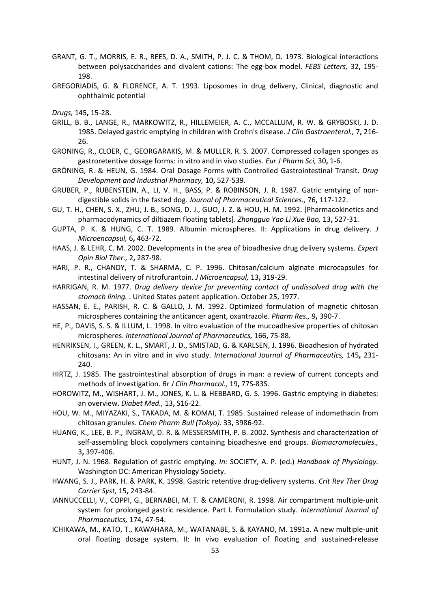- GRANT, G. T., MORRIS, E. R., REES, D. A., SMITH, P. J. C. & THOM, D. 1973. Biological interactions between polysaccharides and divalent cations: The egg-box model. FEBS Letters, 32, 195- 198.
- GREGORIADIS, G. & FLORENCE, A. T. 1993. Liposomes in drug delivery, Clinical, diagnostic and ophthalmic potential
- Drugs, 145, 15-28.
- GRILL, B. B., LANGE, R., MARKOWITZ, R., HILLEMEIER, A. C., MCCALLUM, R. W. & GRYBOSKI, J. D. 1985. Delayed gastric emptying in children with Crohn's disease. J Clin Gastroenterol., 7, 216-26.
- GRONING, R., CLOER, C., GEORGARAKIS, M. & MULLER, R. S. 2007. Compressed collagen sponges as gastroretentive dosage forms: in vitro and in vivo studies. Eur J Pharm Sci, 30, 1-6.
- GRÖNING, R. & HEUN, G. 1984. Oral Dosage Forms with Controlled Gastrointestinal Transit. Drug Development and Industrial Pharmacy, 10, 527-539.
- GRUBER, P., RUBENSTEIN, A., LI, V. H., BASS, P. & ROBINSON, J. R. 1987. Gatric emtying of nondigestible solids in the fasted dog. Journal of Pharmaceutical Sciences., 76, 117-122.
- GU, T. H., CHEN, S. X., ZHU, J. B., SONG, D. J., GUO, J. Z. & HOU, H. M. 1992. [Pharmacokinetics and pharmacodynamics of diltiazem floating tablets]. Zhongguo Yao Li Xue Bao, 13, 527-31.
- GUPTA, P. K. & HUNG, C. T. 1989. Albumin microspheres. II: Applications in drug delivery. J Microencapsul, 6, 463-72.
- HAAS, J. & LEHR, C. M. 2002. Developments in the area of bioadhesive drug delivery systems. Expert Opin Biol Ther., 2, 287-98.
- HARI, P. R., CHANDY, T. & SHARMA, C. P. 1996. Chitosan/calcium alginate microcapsules for intestinal delivery of nitrofurantoin. J Microencapsul, 13, 319-29.
- HARRIGAN, R. M. 1977. Drug delivery device for preventing contact of undissolved drug with the stomach lining. . United States patent application. October 25, 1977.
- HASSAN, E. E., PARISH, R. C. & GALLO, J. M. 1992. Optimized formulation of magnetic chitosan microspheres containing the anticancer agent, oxantrazole. Pharm Res., 9, 390-7.
- HE, P., DAVIS, S. S. & ILLUM, L. 1998. In vitro evaluation of the mucoadhesive properties of chitosan microspheres. International Journal of Pharmaceutics, 166, 75-88.
- HENRIKSEN, I., GREEN, K. L., SMART, J. D., SMISTAD, G. & KARLSEN, J. 1996. Bioadhesion of hydrated chitosans: An in vitro and in vivo study. International Journal of Pharmaceutics, 145, 231- 240.
- HIRTZ, J. 1985. The gastrointestinal absorption of drugs in man: a review of current concepts and methods of investigation. Br J Clin Pharmacol., 19, 77S-83S.
- HOROWITZ, M., WISHART, J. M., JONES, K. L. & HEBBARD, G. S. 1996. Gastric emptying in diabetes: an overview. Diabet Med., 13, S16-22.
- HOU, W. M., MIYAZAKI, S., TAKADA, M. & KOMAI, T. 1985. Sustained release of indomethacin from chitosan granules. Chem Pharm Bull (Tokyo). 33, 3986-92.
- HUANG, K., LEE, B. P., INGRAM, D. R. & MESSERSMITH, P. B. 2002. Synthesis and characterization of self-assembling block copolymers containing bioadhesive end groups. Biomacromolecules., 3, 397-406.
- HUNT, J. N. 1968. Regulation of gastric emptying. In: SOCIETY, A. P. (ed.) Handbook of Physiology. Washington DC: American Physiology Society.
- HWANG, S. J., PARK, H. & PARK, K. 1998. Gastric retentive drug-delivery systems. Crit Rev Ther Drug Carrier Syst, 15, 243-84.
- IANNUCCELLI, V., COPPI, G., BERNABEI, M. T. & CAMERONI, R. 1998. Air compartment multiple-unit system for prolonged gastric residence. Part I. Formulation study. International Journal of Pharmaceutics, 174, 47-54.
- ICHIKAWA, M., KATO, T., KAWAHARA, M., WATANABE, S. & KAYANO, M. 1991a. A new multiple-unit oral floating dosage system. II: In vivo evaluation of floating and sustained-release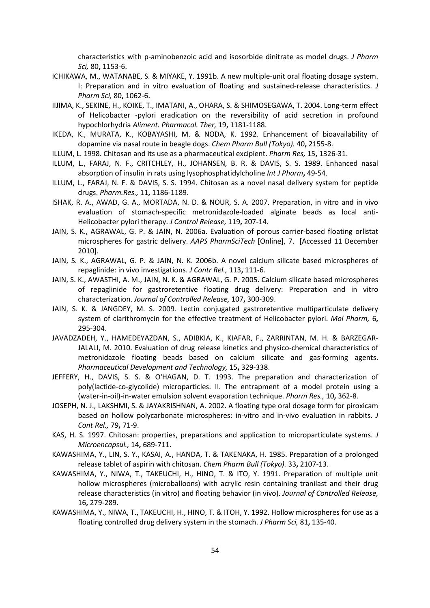characteristics with p-aminobenzoic acid and isosorbide dinitrate as model drugs. J Pharm Sci, 80, 1153-6.

- ICHIKAWA, M., WATANABE, S. & MIYAKE, Y. 1991b. A new multiple-unit oral floating dosage system. I: Preparation and in vitro evaluation of floating and sustained-release characteristics. J Pharm Sci, 80, 1062-6.
- IIJIMA, K., SEKINE, H., KOIKE, T., IMATANI, A., OHARA, S. & SHIMOSEGAWA, T. 2004. Long-term effect of Helicobacter -pylori eradication on the reversibility of acid secretion in profound hypochlorhydria Aliment. Pharmacol. Ther, 19, 1181-1188.
- IKEDA, K., MURATA, K., KOBAYASHI, M. & NODA, K. 1992. Enhancement of bioavailability of dopamine via nasal route in beagle dogs. Chem Pharm Bull (Tokyo). 40, 2155-8.
- ILLUM, L. 1998. Chitosan and its use as a pharmaceutical excipient. Pharm Res, 15, 1326-31.
- ILLUM, L., FARAJ, N. F., CRITCHLEY, H., JOHANSEN, B. R. & DAVIS, S. S. 1989. Enhanced nasal absorption of insulin in rats using lysophosphatidylcholine Int J Pharm, 49-54.
- ILLUM, L., FARAJ, N. F. & DAVIS, S. S. 1994. Chitosan as a novel nasal delivery system for peptide drugs. Pharm.Res., 11, 1186-1189.
- ISHAK, R. A., AWAD, G. A., MORTADA, N. D. & NOUR, S. A. 2007. Preparation, in vitro and in vivo evaluation of stomach-specific metronidazole-loaded alginate beads as local anti-Helicobacter pylori therapy. J Control Release, 119, 207-14.
- JAIN, S. K., AGRAWAL, G. P. & JAIN, N. 2006a. Evaluation of porous carrier-based floating orlistat microspheres for gastric delivery. AAPS PharmSciTech [Online], 7. [Accessed 11 December 2010].
- JAIN, S. K., AGRAWAL, G. P. & JAIN, N. K. 2006b. A novel calcium silicate based microspheres of repaglinide: in vivo investigations. J Contr Rel., 113, 111-6.
- JAIN, S. K., AWASTHI, A. M., JAIN, N. K. & AGRAWAL, G. P. 2005. Calcium silicate based microspheres of repaglinide for gastroretentive floating drug delivery: Preparation and in vitro characterization. Journal of Controlled Release, 107, 300-309.
- JAIN, S. K. & JANGDEY, M. S. 2009. Lectin conjugated gastroretentive multiparticulate delivery system of clarithromycin for the effective treatment of Helicobacter pylori. Mol Pharm, 6, 295-304.
- JAVADZADEH, Y., HAMEDEYAZDAN, S., ADIBKIA, K., KIAFAR, F., ZARRINTAN, M. H. & BARZEGAR-JALALI, M. 2010. Evaluation of drug release kinetics and physico-chemical characteristics of metronidazole floating beads based on calcium silicate and gas-forming agents. Pharmaceutical Development and Technology, 15, 329-338.
- JEFFERY, H., DAVIS, S. S. & O'HAGAN, D. T. 1993. The preparation and characterization of poly(lactide-co-glycolide) microparticles. II. The entrapment of a model protein using a (water-in-oil)-in-water emulsion solvent evaporation technique. Pharm Res., 10, 362-8.
- JOSEPH, N. J., LAKSHMI, S. & JAYAKRISHNAN, A. 2002. A floating type oral dosage form for piroxicam based on hollow polycarbonate microspheres: in-vitro and in-vivo evaluation in rabbits. J Cont Rel., 79, 71-9.
- KAS, H. S. 1997. Chitosan: properties, preparations and application to microparticulate systems. J Microencapsul., 14, 689-711.
- KAWASHIMA, Y., LIN, S. Y., KASAI, A., HANDA, T. & TAKENAKA, H. 1985. Preparation of a prolonged release tablet of aspirin with chitosan. Chem Pharm Bull (Tokyo). 33, 2107-13.
- KAWASHIMA, Y., NIWA, T., TAKEUCHI, H., HINO, T. & ITO, Y. 1991. Preparation of multiple unit hollow microspheres (microballoons) with acrylic resin containing tranilast and their drug release characteristics (in vitro) and floating behavior (in vivo). Journal of Controlled Release, 16, 279-289.
- KAWASHIMA, Y., NIWA, T., TAKEUCHI, H., HINO, T. & ITOH, Y. 1992. Hollow microspheres for use as a floating controlled drug delivery system in the stomach. J Pharm Sci, 81, 135-40.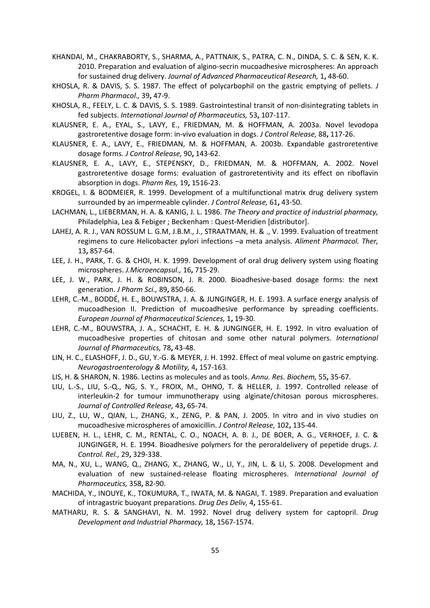- KHANDAI, M., CHAKRABORTY, S., SHARMA, A., PATTNAIK, S., PATRA, C. N., DINDA, S. C. & SEN, K. K. 2010. Preparation and evaluation of algino-secrin mucoadhesive microspheres: An approach for sustained drug delivery. Journal of Advanced Pharmaceutical Research, 1, 48-60.
- KHOSLA, R. & DAVIS, S. S. 1987. The effect of polycarbophil on the gastric emptying of pellets. J Pharm Pharmacol., 39, 47-9.
- KHOSLA, R., FEELY, L. C. & DAVIS, S. S. 1989. Gastrointestinal transit of non-disintegrating tablets in fed subjects. International Journal of Pharmaceutics, 53, 107-117.
- KLAUSNER, E. A., EYAL, S., LAVY, E., FRIEDMAN, M. & HOFFMAN, A. 2003a. Novel levodopa gastroretentive dosage form: in-vivo evaluation in dogs. J Control Release, 88, 117-26.
- KLAUSNER, E. A., LAVY, E., FRIEDMAN, M. & HOFFMAN, A. 2003b. Expandable gastroretentive dosage forms. J Control Release, 90, 143-62.
- KLAUSNER, E. A., LAVY, E., STEPENSKY, D., FRIEDMAN, M. & HOFFMAN, A. 2002. Novel gastroretentive dosage forms: evaluation of gastroretentivity and its effect on riboflavin absorption in dogs. Pharm Res, 19, 1516-23.
- KROGEL, I. & BODMEIER, R. 1999. Development of a multifunctional matrix drug delivery system surrounded by an impermeable cylinder. J Control Release, 61, 43-50.
- LACHMAN, L., LIEBERMAN, H. A. & KANIG, J. L. 1986. The Theory and practice of industrial pharmacy, Philadelphia, Lea & Febiger ; Beckenham : Quest-Meridien [distributor].
- LAHEJ, A. R. J., VAN ROSSUM L. G.M, J.B.M., J., STRAATMAN, H. & ., V. 1999. Evaluation of treatment regimens to cure Helicobacter pylori infections –a meta analysis. Aliment Pharmacol. Ther, 13, 857-64.
- LEE, J. H., PARK, T. G. & CHOI, H. K. 1999. Development of oral drug delivery system using floating microspheres. J.Microencapsul., 16, 715-29.
- LEE, J. W., PARK, J. H. & ROBINSON, J. R. 2000. Bioadhesive-based dosage forms: the next generation. J Pharm Sci., 89, 850-66.
- LEHR, C.-M., BODDÉ, H. E., BOUWSTRA, J. A. & JUNGINGER, H. E. 1993. A surface energy analysis of mucoadhesion II. Prediction of mucoadhesive performance by spreading coefficients. European Journal of Pharmaceutical Sciences, 1, 19-30.
- LEHR, C.-M., BOUWSTRA, J. A., SCHACHT, E. H. & JUNGINGER, H. E. 1992. In vitro evaluation of mucoadhesive properties of chitosan and some other natural polymers. International Journal of Pharmaceutics, 78, 43-48.
- LIN, H. C., ELASHOFF, J. D., GU, Y.-G. & MEYER, J. H. 1992. Effect of meal volume on gastric emptying. Neurogastroenterology & Motility, 4, 157-163.
- LIS, H. & SHARON, N. 1986. Lectins as molecules and as tools. Annu. Res. Biochem, 55, 35-67.
- LIU, L.-S., LIU, S.-Q., NG, S. Y., FROIX, M., OHNO, T. & HELLER, J. 1997. Controlled release of interleukin-2 for tumour immunotherapy using alginate/chitosan porous microspheres. Journal of Controlled Release, 43, 65-74.
- LIU, Z., LU, W., QIAN, L., ZHANG, X., ZENG, P. & PAN, J. 2005. In vitro and in vivo studies on mucoadhesive microspheres of amoxicillin. J Control Release, 102, 135-44.
- LUEBEN, H. L., LEHR, C. M., RENTAL, C. O., NOACH, A. B. J., DE BOER, A. G., VERHOEF, J. C. & JUNGINGER, H. E. 1994. Bioadhesive polymers for the peroraldelivery of pepetide drugs. J. Control. Rel., 29, 329-338.
- MA, N., XU, L., WANG, Q., ZHANG, X., ZHANG, W., LI, Y., JIN, L. & LI, S. 2008. Development and evaluation of new sustained-release floating microspheres. International Journal of Pharmaceutics, 358, 82-90.
- MACHIDA, Y., INOUYE, K., TOKUMURA, T., IWATA, M. & NAGAI, T. 1989. Preparation and evaluation of intragastric buoyant preparations. Drug Des Deliv, 4, 155-61.
- MATHARU, R. S. & SANGHAVI, N. M. 1992. Novel drug delivery system for captopril. Drug Development and Industrial Pharmacy, 18, 1567-1574.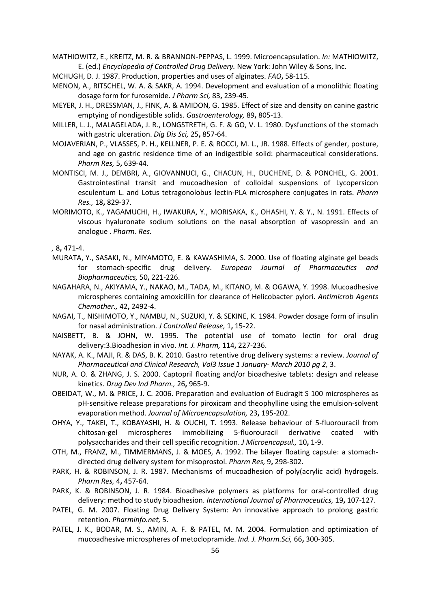MATHIOWITZ, E., KREITZ, M. R. & BRANNON-PEPPAS, L. 1999. Microencapsulation. In: MATHIOWITZ, E. (ed.) Encyclopedia of Controlled Drug Delivery. New York: John Wiley & Sons, Inc.

MCHUGH, D. J. 1987. Production, properties and uses of alginates. FAO, 58-115.

- MENON, A., RITSCHEL, W. A. & SAKR, A. 1994. Development and evaluation of a monolithic floating dosage form for furosemide. J Pharm Sci, 83, 239-45.
- MEYER, J. H., DRESSMAN, J., FINK, A. & AMIDON, G. 1985. Effect of size and density on canine gastric emptying of nondigestible solids. Gastroenterology, 89, 805-13.
- MILLER, L. J., MALAGELADA, J. R., LONGSTRETH, G. F. & GO, V. L. 1980. Dysfunctions of the stomach with gastric ulceration. Dig Dis Sci, 25, 857-64.
- MOJAVERIAN, P., VLASSES, P. H., KELLNER, P. E. & ROCCI, M. L., JR. 1988. Effects of gender, posture, and age on gastric residence time of an indigestible solid: pharmaceutical considerations. Pharm Res, 5, 639-44.
- MONTISCI, M. J., DEMBRI, A., GIOVANNUCI, G., CHACUN, H., DUCHENE, D. & PONCHEL, G. 2001. Gastrointestinal transit and mucoadhesion of colloidal suspensions of Lycopersicon esculentum L. and Lotus tetragonolobus lectin-PLA microsphere conjugates in rats. Pharm Res., 18, 829-37.
- MORIMOTO, K., YAGAMUCHI, H., IWAKURA, Y., MORISAKA, K., OHASHI, Y. & Y., N. 1991. Effects of viscous hyaluronate sodium solutions on the nasal absorption of vasopressin and an analogue . Pharm. Res.

, 8, 471-4.

- MURATA, Y., SASAKI, N., MIYAMOTO, E. & KAWASHIMA, S. 2000. Use of floating alginate gel beads for stomach-specific drug delivery. European Journal of Pharmaceutics Biopharmaceutics, 50, 221-226.
- NAGAHARA, N., AKIYAMA, Y., NAKAO, M., TADA, M., KITANO, M. & OGAWA, Y. 1998. Mucoadhesive microspheres containing amoxicillin for clearance of Helicobacter pylori. Antimicrob Agents Chemother., 42, 2492-4.
- NAGAI, T., NISHIMOTO, Y., NAMBU, N., SUZUKI, Y. & SEKINE, K. 1984. Powder dosage form of insulin for nasal administration. J Controlled Release, 1, 15-22.
- NAISBETT, B. & JOHN, W. 1995. The potential use of tomato lectin for oral drug delivery:3.Bioadhesion in vivo. Int. J. Pharm, 114, 227-236.
- NAYAK, A. K., MAJI, R. & DAS, B. K. 2010. Gastro retentive drug delivery systems: a review. Journal of Pharmaceutical and Clinical Research, Vol3 Issue 1 January- March 2010 pg 2, 3.
- NUR, A. O. & ZHANG, J. S. 2000. Captopril floating and/or bioadhesive tablets: design and release kinetics. Drug Dev Ind Pharm., 26, 965-9.
- OBEIDAT, W., M. & PRICE, J. C. 2006. Preparation and evaluation of Eudragit S 100 microspheres as pH-sensitive release preparations for piroxicam and theophylline using the emulsion-solvent evaporation method. Journal of Microencapsulation, 23, 195-202.
- OHYA, Y., TAKEI, T., KOBAYASHI, H. & OUCHI, T. 1993. Release behaviour of 5-fluorouracil from chitosan-gel microspheres immobilizing 5-fluorouracil derivative coated with polysaccharides and their cell specific recognition. J Microencapsul., 10, 1-9.
- OTH, M., FRANZ, M., TIMMERMANS, J. & MOES, A. 1992. The bilayer floating capsule: a stomachdirected drug delivery system for misoprostol. Pharm Res, 9, 298-302.
- PARK, H. & ROBINSON, J. R. 1987. Mechanisms of mucoadhesion of poly(acrylic acid) hydrogels. Pharm Res, 4, 457-64.
- PARK, K. & ROBINSON, J. R. 1984. Bioadhesive polymers as platforms for oral-controlled drug delivery: method to study bioadhesion. International Journal of Pharmaceutics, 19, 107-127.
- PATEL, G. M. 2007. Floating Drug Delivery System: An innovative approach to prolong gastric retention. Pharminfo.net, 5.
- PATEL, J. K., BODAR, M. S., AMIN, A. F. & PATEL, M. M. 2004. Formulation and optimization of mucoadhesive microspheres of metoclopramide. Ind. J. Pharm.Sci, 66, 300-305.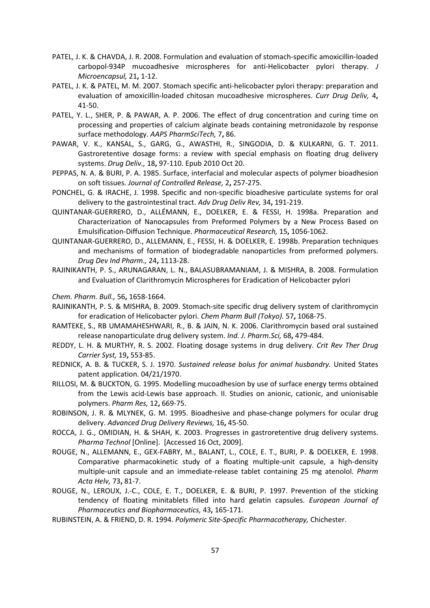- PATEL, J. K. & CHAVDA, J. R. 2008. Formulation and evaluation of stomach-specific amoxicillin-loaded carbopol-934P mucoadhesive microspheres for anti-Helicobacter pylori therapy. J Microencapsul, 21, 1-12.
- PATEL, J. K. & PATEL, M. M. 2007. Stomach specific anti-helicobacter pylori therapy: preparation and evaluation of amoxicillin-loaded chitosan mucoadhesive microspheres. Curr Drug Deliv, 4, 41-50.
- PATEL, Y. L., SHER, P. & PAWAR, A. P. 2006. The effect of drug concentration and curing time on processing and properties of calcium alginate beads containing metronidazole by response surface methodology. AAPS PharmSciTech, 7, 86.
- PAWAR, V. K., KANSAL, S., GARG, G., AWASTHI, R., SINGODIA, D. & KULKARNI, G. T. 2011. Gastroretentive dosage forms: a review with special emphasis on floating drug delivery systems. Drug Deliv., 18, 97-110. Epub 2010 Oct 20.
- PEPPAS, N. A. & BURI, P. A. 1985. Surface, interfacial and molecular aspects of polymer bioadhesion on soft tissues. Journal of Controlled Release, 2, 257-275.
- PONCHEL, G. & IRACHE, J. 1998. Specific and non-specific bioadhesive particulate systems for oral delivery to the gastrointestinal tract. Adv Drug Deliv Rev, 34, 191-219.
- QUINTANAR-GUERRERO, D., ALLÉMANN, E., DOELKER, E. & FESSI, H. 1998a. Preparation and Characterization of Nanocapsules from Preformed Polymers by a New Process Based on Emulsification-Diffusion Technique. Pharmaceutical Research, 15, 1056-1062.
- QUINTANAR-GUERRERO, D., ALLEMANN, E., FESSI, H. & DOELKER, E. 1998b. Preparation techniques and mechanisms of formation of biodegradable nanoparticles from preformed polymers. Drug Dev Ind Pharm., 24, 1113-28.
- RAJINIKANTH, P. S., ARUNAGARAN, L. N., BALASUBRAMANIAM, J. & MISHRA, B. 2008. Formulation and Evaluation of Clarithromycin Microspheres for Eradication of Helicobacter pylori

Chem. Pharm. Bull., 56, 1658-1664.

- RAJINIKANTH, P. S. & MISHRA, B. 2009. Stomach-site specific drug delivery system of clarithromycin for eradication of Helicobacter pylori. Chem Pharm Bull (Tokyo). 57, 1068-75.
- RAMTEKE, S., RB UMAMAHESHWARI, R., B. & JAIN, N. K. 2006. Clarithromycin based oral sustained release nanoparticulate drug delivery system. Ind. J. Pharm.Sci, 68, 479-484.
- REDDY, L. H. & MURTHY, R. S. 2002. Floating dosage systems in drug delivery. Crit Rev Ther Drug Carrier Syst, 19, 553-85.
- REDNICK, A. B. & TUCKER, S. J. 1970. Sustained release bolus for animal husbandry. United States patent application. 04/21/1970.
- RILLOSI, M. & BUCKTON, G. 1995. Modelling mucoadhesion by use of surface energy terms obtained from the Lewis acid-Lewis base approach. II. Studies on anionic, cationic, and unionisable polymers. Pharm Res, 12, 669-75.
- ROBINSON, J. R. & MLYNEK, G. M. 1995. Bioadhesive and phase-change polymers for ocular drug delivery. Advanced Drug Delivery Reviews, 16, 45-50.
- ROCCA, J. G., OMIDIAN, H. & SHAH, K. 2003. Progresses in gastroretentive drug delivery systems. Pharma Technol [Online]. [Accessed 16 Oct, 2009].
- ROUGE, N., ALLEMANN, E., GEX-FABRY, M., BALANT, L., COLE, E. T., BURI, P. & DOELKER, E. 1998. Comparative pharmacokinetic study of a floating multiple-unit capsule, a high-density multiple-unit capsule and an immediate-release tablet containing 25 mg atenolol. Pharm Acta Helv, 73, 81-7.
- ROUGE, N., LEROUX, J.-C., COLE, E. T., DOELKER, E. & BURI, P. 1997. Prevention of the sticking tendency of floating minitablets filled into hard gelatin capsules. European Journal of Pharmaceutics and Biopharmaceutics, 43, 165-171.
- RUBINSTEIN, A. & FRIEND, D. R. 1994. Polymeric Site-Specific Pharmacotherapy, Chichester.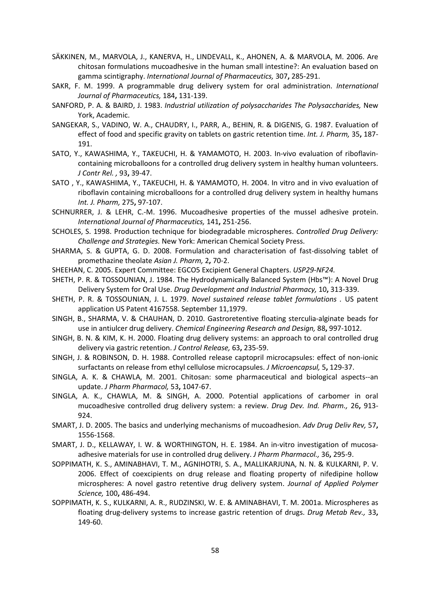- SÄKKINEN, M., MARVOLA, J., KANERVA, H., LINDEVALL, K., AHONEN, A. & MARVOLA, M. 2006. Are chitosan formulations mucoadhesive in the human small intestine?: An evaluation based on gamma scintigraphy. International Journal of Pharmaceutics, 307, 285-291.
- SAKR, F. M. 1999. A programmable drug delivery system for oral administration. International Journal of Pharmaceutics, 184, 131-139.
- SANFORD, P. A. & BAIRD, J. 1983. Industrial utilization of polysaccharides The Polysaccharides, New York, Academic.
- SANGEKAR, S., VADINO, W. A., CHAUDRY, I., PARR, A., BEHIN, R. & DIGENIS, G. 1987. Evaluation of effect of food and specific gravity on tablets on gastric retention time. Int. J. Pharm, 35, 187-191.
- SATO, Y., KAWASHIMA, Y., TAKEUCHI, H. & YAMAMOTO, H. 2003. In-vivo evaluation of riboflavincontaining microballoons for a controlled drug delivery system in healthy human volunteers. J Contr Rel. , 93, 39-47.
- SATO , Y., KAWASHIMA, Y., TAKEUCHI, H. & YAMAMOTO, H. 2004. In vitro and in vivo evaluation of riboflavin containing microballoons for a controlled drug delivery system in healthy humans Int. J. Pharm, 275, 97-107.
- SCHNURRER, J. & LEHR, C.-M. 1996. Mucoadhesive properties of the mussel adhesive protein. International Journal of Pharmaceutics, 141, 251-256.
- SCHOLES, S. 1998. Production technique for biodegradable microspheres. Controlled Drug Delivery: Challenge and Strategies. New York: American Chemical Society Press.
- SHARMA, S. & GUPTA, G. D. 2008. Formulation and characterisation of fast-dissolving tablet of promethazine theolate Asian J. Pharm, 2, 70-2.
- SHEEHAN, C. 2005. Expert Committee: EGCO5 Excipient General Chapters. USP29-NF24.
- SHETH, P. R. & TOSSOUNIAN, J. 1984. The Hydrodynamically Balanced System (Hbs™): A Novel Drug Delivery System for Oral Use. Drug Development and Industrial Pharmacy, 10, 313-339.
- SHETH, P. R. & TOSSOUNIAN, J. L. 1979. Novel sustained release tablet formulations . US patent application US Patent 4167558. September 11,1979.
- SINGH, B., SHARMA, V. & CHAUHAN, D. 2010. Gastroretentive floating sterculia-alginate beads for use in antiulcer drug delivery. Chemical Engineering Research and Design, 88, 997-1012.
- SINGH, B. N. & KIM, K. H. 2000. Floating drug delivery systems: an approach to oral controlled drug delivery via gastric retention. J Control Release, 63, 235-59.
- SINGH, J. & ROBINSON, D. H. 1988. Controlled release captopril microcapsules: effect of non-ionic surfactants on release from ethyl cellulose microcapsules. J Microencapsul, 5, 129-37.
- SINGLA, A. K. & CHAWLA, M. 2001. Chitosan: some pharmaceutical and biological aspects--an update. J Pharm Pharmacol, 53, 1047-67.
- SINGLA, A. K., CHAWLA, M. & SINGH, A. 2000. Potential applications of carbomer in oral mucoadhesive controlled drug delivery system: a review. Drug Dev. Ind. Pharm., 26, 913- 924.
- SMART, J. D. 2005. The basics and underlying mechanisms of mucoadhesion. Adv Drug Deliv Rev, 57, 1556-1568.
- SMART, J. D., KELLAWAY, I. W. & WORTHINGTON, H. E. 1984. An in-vitro investigation of mucosaadhesive materials for use in controlled drug delivery. J Pharm Pharmacol., 36, 295-9.
- SOPPIMATH, K. S., AMINABHAVI, T. M., AGNIHOTRI, S. A., MALLIKARJUNA, N. N. & KULKARNI, P. V. 2006. Effect of coexcipients on drug release and floating property of nifedipine hollow microspheres: A novel gastro retentive drug delivery system. Journal of Applied Polymer Science, 100, 486-494.
- SOPPIMATH, K. S., KULKARNI, A. R., RUDZINSKI, W. E. & AMINABHAVI, T. M. 2001a. Microspheres as floating drug-delivery systems to increase gastric retention of drugs. Drug Metab Rev., 33, 149-60.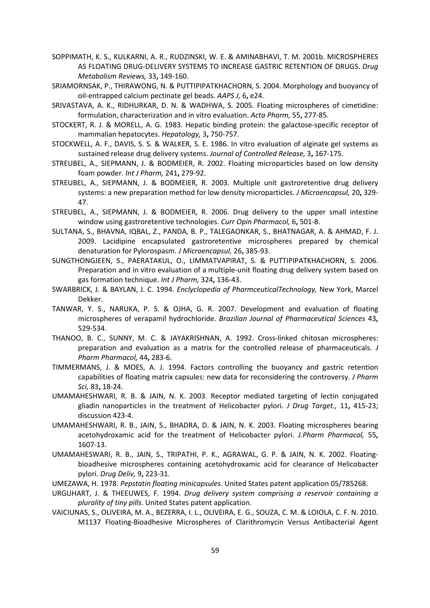- SOPPIMATH, K. S., KULKARNI, A. R., RUDZINSKI, W. E. & AMINABHAVI, T. M. 2001b. MICROSPHERES AS FLOATING DRUG-DELIVERY SYSTEMS TO INCREASE GASTRIC RETENTION OF DRUGS. Drug Metabolism Reviews, 33, 149-160.
- SRIAMORNSAK, P., THIRAWONG, N. & PUTTIPIPATKHACHORN, S. 2004. Morphology and buoyancy of oil-entrapped calcium pectinate gel beads. AAPS J, 6, e24.
- SRIVASTAVA, A. K., RIDHURKAR, D. N. & WADHWA, S. 2005. Floating microspheres of cimetidine: formulation, characterization and in vitro evaluation. Acta Pharm, 55, 277-85.
- STOCKERT, R. J. & MORELL, A. G. 1983. Hepatic binding protein: the galactose-specific receptor of mammalian hepatocytes. Hepatology, 3, 750-757.
- STOCKWELL, A. F., DAVIS, S. S. & WALKER, S. E. 1986. In vitro evaluation of alginate gel systems as sustained release drug delivery systems. Journal of Controlled Release, 3, 167-175.
- STREUBEL, A., SIEPMANN, J. & BODMEIER, R. 2002. Floating microparticles based on low density foam powder. Int J Pharm, 241, 279-92.
- STREUBEL, A., SIEPMANN, J. & BODMEIER, R. 2003. Multiple unit gastroretentive drug delivery systems: a new preparation method for low density microparticles. J Microencapsul, 20, 329- 47.
- STREUBEL, A., SIEPMANN, J. & BODMEIER, R. 2006. Drug delivery to the upper small intestine window using gastroretentive technologies. Curr Opin Pharmacol, 6, 501-8.
- SULTANA, S., BHAVNA, IQBAL, Z., PANDA, B. P., TALEGAONKAR, S., BHATNAGAR, A. & AHMAD, F. J. 2009. Lacidipine encapsulated gastroretentive microspheres prepared by chemical denaturation for Pylorospasm. J Microencapsul, 26, 385-93.
- SUNGTHONGJEEN, S., PAERATAKUL, O., LIMMATVAPIRAT, S. & PUTTIPIPATKHACHORN, S. 2006. Preparation and in vitro evaluation of a multiple-unit floating drug delivery system based on gas formation technique. Int J Pharm, 324, 136-43.
- SWARBRICK, J. & BAYLAN, J. C. 1994. Enclyclopedia of PharmceuticalTechnology, New York, Marcel Dekker.
- TANWAR, Y. S., NARUKA, P. S. & OJHA, G. R. 2007. Development and evaluation of floating microspheres of verapamil hydrochloride. Brazilian Journal of Pharmaceutical Sciences 43, 529-534.
- THANOO, B. C., SUNNY, M. C. & JAYAKRISHNAN, A. 1992. Cross-linked chitosan microspheres: preparation and evaluation as a matrix for the controlled release of pharmaceuticals. J Pharm Pharmacol, 44, 283-6.
- TIMMERMANS, J. & MOES, A. J. 1994. Factors controlling the buoyancy and gastric retention capabilities of floating matrix capsules: new data for reconsidering the controversy. J Pharm Sci, 83, 18-24.
- UMAMAHESHWARI, R. B. & JAIN, N. K. 2003. Receptor mediated targeting of lectin conjugated gliadin nanoparticles in the treatment of Helicobacter pylori. J Drug Target., 11, 415-23; discussion 423-4.
- UMAMAHESHWARI, R. B., JAIN, S., BHADRA, D. & JAIN, N. K. 2003. Floating microspheres bearing acetohydroxamic acid for the treatment of Helicobacter pylori. J.Pharm Pharmacol, 55, 1607-13.
- UMAMAHESWARI, R. B., JAIN, S., TRIPATHI, P. K., AGRAWAL, G. P. & JAIN, N. K. 2002. Floatingbioadhesive microspheres containing acetohydroxamic acid for clearance of Helicobacter pylori. Drug Deliv, 9, 223-31.
- UMEZAWA, H. 1978. Pepstatin floating minicapsules. United States patent application 05/785268.
- URGUHART, J. & THEEUWES, F. 1994. Drug delivery system comprising a reservoir containing a plurality of tiny pills. United States patent application.
- VAICIUNAS, S., OLIVEIRA, M. A., BEZERRA, I. L., OLIVEIRA, E. G., SOUZA, C. M. & LOIOLA, C. F. N. 2010. M1137 Floating-Bioadhesive Microspheres of Clarithromycin Versus Antibacterial Agent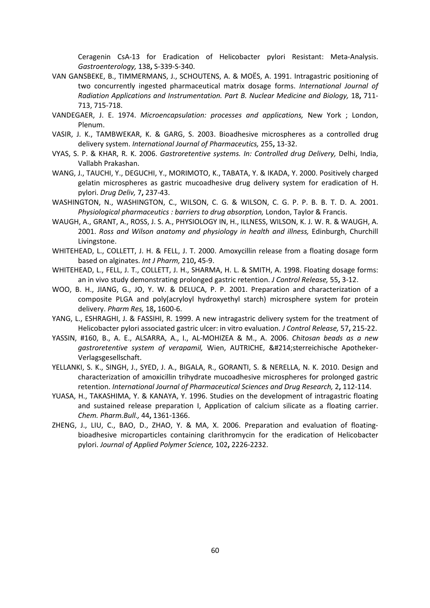Ceragenin CsA-13 for Eradication of Helicobacter pylori Resistant: Meta-Analysis. Gastroenterology, 138, S-339-S-340.

- VAN GANSBEKE, B., TIMMERMANS, J., SCHOUTENS, A. & MOËS, A. 1991. Intragastric positioning of two concurrently ingested pharmaceutical matrix dosage forms. International Journal of Radiation Applications and Instrumentation. Part B. Nuclear Medicine and Biology, 18, 711- 713, 715-718.
- VANDEGAER, J. E. 1974. Microencapsulation: processes and applications, New York ; London, Plenum.
- VASIR, J. K., TAMBWEKAR, K. & GARG, S. 2003. Bioadhesive microspheres as a controlled drug delivery system. International Journal of Pharmaceutics, 255, 13-32.
- VYAS, S. P. & KHAR, R. K. 2006. Gastroretentive systems. In: Controlled drug Delivery, Delhi, India, Vallabh Prakashan.
- WANG, J., TAUCHI, Y., DEGUCHI, Y., MORIMOTO, K., TABATA, Y. & IKADA, Y. 2000. Positively charged gelatin microspheres as gastric mucoadhesive drug delivery system for eradication of H. pylori. Drug Deliv, 7, 237-43.
- WASHINGTON, N., WASHINGTON, C., WILSON, C. G. & WILSON, C. G. P. P. B. B. T. D. A. 2001. Physiological pharmaceutics : barriers to drug absorption, London, Taylor & Francis.
- WAUGH, A., GRANT, A., ROSS, J. S. A., PHYSIOLOGY IN, H., ILLNESS, WILSON, K. J. W. R. & WAUGH, A. 2001. Ross and Wilson anatomy and physiology in health and illness, Edinburgh, Churchill Livingstone.
- WHITEHEAD, L., COLLETT, J. H. & FELL, J. T. 2000. Amoxycillin release from a floating dosage form based on alginates. Int J Pharm, 210, 45-9.
- WHITEHEAD, L., FELL, J. T., COLLETT, J. H., SHARMA, H. L. & SMITH, A. 1998. Floating dosage forms: an in vivo study demonstrating prolonged gastric retention. J Control Release, 55, 3-12.
- WOO, B. H., JIANG, G., JO, Y. W. & DELUCA, P. P. 2001. Preparation and characterization of a composite PLGA and poly(acryloyl hydroxyethyl starch) microsphere system for protein delivery. Pharm Res, 18, 1600-6.
- YANG, L., ESHRAGHI, J. & FASSIHI, R. 1999. A new intragastric delivery system for the treatment of Helicobacter pylori associated gastric ulcer: in vitro evaluation. J Control Release, 57, 215-22.
- YASSIN, #160, B., A. E., ALSARRA, A., I., AL-MOHIZEA & M., A. 2006. Chitosan beads as a new gastroretentive system of verapamil, Wien, AUTRICHE, Österreichische Apotheker-Verlagsgesellschaft.
- YELLANKI, S. K., SINGH, J., SYED, J. A., BIGALA, R., GORANTI, S. & NERELLA, N. K. 2010. Design and characterization of amoxicillin trihydrate mucoadhesive microspheres for prolonged gastric retention. International Journal of Pharmaceutical Sciences and Drug Research, 2, 112-114.
- YUASA, H., TAKASHIMA, Y. & KANAYA, Y. 1996. Studies on the development of intragastric floating and sustained release preparation I, Application of calcium silicate as a floating carrier. Chem. Pharm.Bull., 44, 1361-1366.
- ZHENG, J., LIU, C., BAO, D., ZHAO, Y. & MA, X. 2006. Preparation and evaluation of floatingbioadhesive microparticles containing clarithromycin for the eradication of Helicobacter pylori. Journal of Applied Polymer Science, 102, 2226-2232.